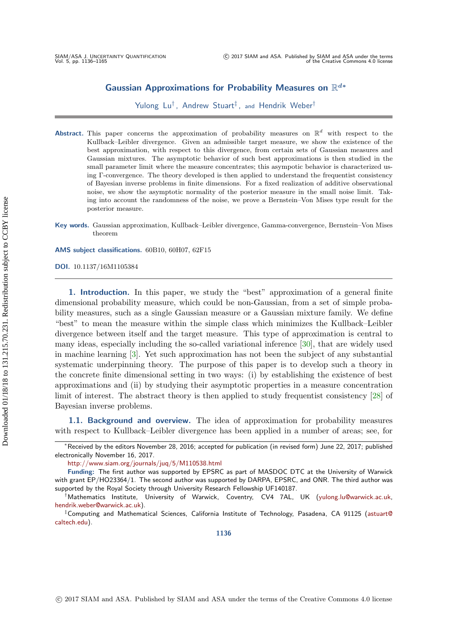# Gaussian Approximations for Probability Measures on  $\mathbb{R}^{d*}$

Yulong  $Lu^{\dagger}$ , Andrew Stuart $^{\ddagger}$ , and Hendrik Weber $^{\dagger}$ 

- **Abstract.** This paper concerns the approximation of probability measures on  $\mathbb{R}^d$  with respect to the Kullback–Leibler divergence. Given an admissible target measure, we show the existence of the best approximation, with respect to this divergence, from certain sets of Gaussian measures and Gaussian mixtures. The asymptotic behavior of such best approximations is then studied in the small parameter limit where the measure concentrates; this asympotic behavior is characterized using Γ-convergence. The theory developed is then applied to understand the frequentist consistency of Bayesian inverse problems in finite dimensions. For a fixed realization of additive observational noise, we show the asymptotic normality of the posterior measure in the small noise limit. Taking into account the randomness of the noise, we prove a Bernstein–Von Mises type result for the posterior measure.
- Key words. Gaussian approximation, Kullback–Leibler divergence, Gamma-convergence, Bernstein–Von Mises theorem

AMS subject classifications. 60B10, 60H07, 62F15

DOI. 10.1137/16M1105384

1. Introduction. In this paper, we study the "best" approximation of a general finite dimensional probability measure, which could be non-Gaussian, from a set of simple probability measures, such as a single Gaussian measure or a Gaussian mixture family. We define "best" to mean the measure within the simple class which minimizes the Kullback–Leibler divergence between itself and the target measure. This type of approximation is central to many ideas, especially including the so-called variational inference [\[30\]](#page-29-0), that are widely used in machine learning [\[3\]](#page-28-0). Yet such approximation has not been the subject of any substantial systematic underpinning theory. The purpose of this paper is to develop such a theory in the concrete finite dimensional setting in two ways: (i) by establishing the existence of best approximations and (ii) by studying their asymptotic properties in a measure concentration limit of interest. The abstract theory is then applied to study frequentist consistency [\[28\]](#page-29-1) of Bayesian inverse problems.

1.1. Background and overview. The idea of approximation for probability measures with respect to Kullback–Leibler divergence has been applied in a number of areas; see, for

<sup>∗</sup>Received by the editors November 28, 2016; accepted for publication (in revised form) June 22, 2017; published electronically November 16, 2017.

<http://www.siam.org/journals/juq/5/M110538.html>

Funding: The first author was supported by EPSRC as part of MASDOC DTC at the University of Warwick with grant EP/HO23364/1. The second author was supported by DARPA, EPSRC, and ONR. The third author was supported by the Royal Society through University Research Fellowship UF140187.

<sup>†</sup>Mathematics Institute, University of Warwick, Coventry, CV4 7AL, UK [\(yulong.lu@warwick.ac.uk,](mailto:yulong.lu@warwick.ac.uk) [hendrik.weber@warwick.ac.uk\)](mailto:hendrik.weber@warwick.ac.uk).

<sup>‡</sup>Computing and Mathematical Sciences, California Institute of Technology, Pasadena, CA 91125 [\(astuart@](mailto:astuart@caltech.edu) [caltech.edu\)](mailto:astuart@caltech.edu).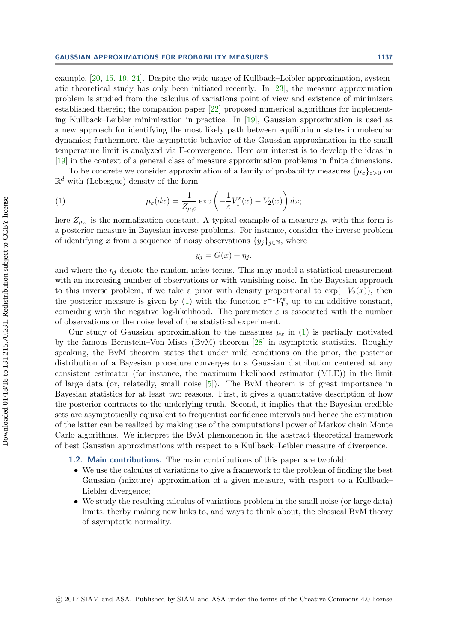example, [\[20,](#page-29-2) [15,](#page-29-3) [19,](#page-29-4) [24\]](#page-29-5). Despite the wide usage of Kullback–Leibler approximation, systematic theoretical study has only been initiated recently. In [\[23\]](#page-29-6), the measure approximation problem is studied from the calculus of variations point of view and existence of minimizers established therein; the companion paper [\[22\]](#page-29-7) proposed numerical algorithms for implementing Kullback–Leibler minimization in practice. In [\[19\]](#page-29-4), Gaussian approximation is used as a new approach for identifying the most likely path between equilibrium states in molecular dynamics; furthermore, the asymptotic behavior of the Gaussian approximation in the small temperature limit is analyzed via Γ-convergence. Here our interest is to develop the ideas in [\[19\]](#page-29-4) in the context of a general class of measure approximation problems in finite dimensions.

To be concrete we consider approximation of a family of probability measures  $\{\mu_{\varepsilon}\}_{{\varepsilon}>0}$  on  $\mathbb{R}^d$  with (Lebesgue) density of the form

<span id="page-1-0"></span>(1) 
$$
\mu_{\varepsilon}(dx) = \frac{1}{Z_{\mu,\varepsilon}} \exp\left(-\frac{1}{\varepsilon}V_1^{\varepsilon}(x) - V_2(x)\right)dx;
$$

here  $Z_{\mu,\varepsilon}$  is the normalization constant. A typical example of a measure  $\mu_{\varepsilon}$  with this form is a posterior measure in Bayesian inverse problems. For instance, consider the inverse problem of identifying x from a sequence of noisy observations  $\{y_j\}_{j\in\mathbb{N}}$ , where

$$
y_j = G(x) + \eta_j,
$$

and where the  $\eta_i$  denote the random noise terms. This may model a statistical measurement with an increasing number of observations or with vanishing noise. In the Bayesian approach to this inverse problem, if we take a prior with density proportional to  $\exp(-V_2(x))$ , then the posterior measure is given by [\(1\)](#page-1-0) with the function  $\varepsilon^{-1}V_1^{\varepsilon}$ , up to an additive constant, coinciding with the negative log-likelihood. The parameter  $\varepsilon$  is associated with the number of observations or the noise level of the statistical experiment.

Our study of Gaussian approximation to the measures  $\mu_{\varepsilon}$  in [\(1\)](#page-1-0) is partially motivated by the famous Bernstein–Von Mises (BvM) theorem [\[28\]](#page-29-1) in asymptotic statistics. Roughly speaking, the BvM theorem states that under mild conditions on the prior, the posterior distribution of a Bayesian procedure converges to a Gaussian distribution centered at any consistent estimator (for instance, the maximum likelihood estimator (MLE)) in the limit of large data (or, relatedly, small noise [\[5\]](#page-28-1)). The BvM theorem is of great importance in Bayesian statistics for at least two reasons. First, it gives a quantitative description of how the posterior contracts to the underlying truth. Second, it implies that the Bayesian credible sets are asymptotically equivalent to frequentist confidence intervals and hence the estimation of the latter can be realized by making use of the computational power of Markov chain Monte Carlo algorithms. We interpret the BvM phenomenon in the abstract theoretical framework of best Gaussian approximations with respect to a Kullback–Leibler measure of divergence.

1.2. Main contributions. The main contributions of this paper are twofold:

- We use the calculus of variations to give a framework to the problem of finding the best Gaussian (mixture) approximation of a given measure, with respect to a Kullback– Liebler divergence;
- We study the resulting calculus of variations problem in the small noise (or large data) limits, therby making new links to, and ways to think about, the classical BvM theory of asymptotic normality.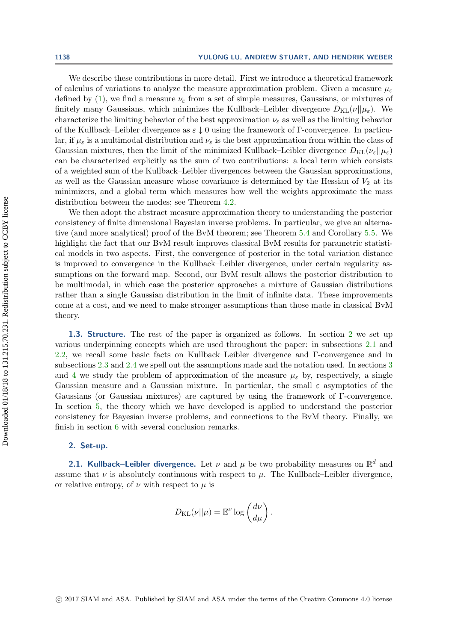We describe these contributions in more detail. First we introduce a theoretical framework of calculus of variations to analyze the measure approximation problem. Given a measure  $\mu_{\varepsilon}$ defined by [\(1\)](#page-1-0), we find a measure  $\nu_{\varepsilon}$  from a set of simple measures, Gaussians, or mixtures of finitely many Gaussians, which minimizes the Kullback–Leibler divergence  $D_{KL}(\nu||\mu_{\varepsilon})$ . We characterize the limiting behavior of the best approximation  $\nu_{\varepsilon}$  as well as the limiting behavior of the Kullback–Leibler divergence as  $\varepsilon \downarrow 0$  using the framework of Γ-convergence. In particular, if  $\mu_{\varepsilon}$  is a multimodal distribution and  $\nu_{\varepsilon}$  is the best approximation from within the class of Gaussian mixtures, then the limit of the minimized Kullback–Leibler divergence  $D_{KL}(\nu_{\varepsilon}||\mu_{\varepsilon})$ can be characterized explicitly as the sum of two contributions: a local term which consists of a weighted sum of the Kullback–Leibler divergences between the Gaussian approximations, as well as the Gaussian measure whose covariance is determined by the Hessian of  $V_2$  at its minimizers, and a global term which measures how well the weights approximate the mass distribution between the modes; see Theorem [4.2.](#page-13-0)

We then adopt the abstract measure approximation theory to understanding the posterior consistency of finite dimensional Bayesian inverse problems. In particular, we give an alternative (and more analytical) proof of the BvM theorem; see Theorem [5.4](#page-23-0) and Corollary [5.5.](#page-23-1) We highlight the fact that our BvM result improves classical BvM results for parametric statistical models in two aspects. First, the convergence of posterior in the total variation distance is improved to convergence in the Kullback–Leibler divergence, under certain regularity assumptions on the forward map. Second, our BvM result allows the posterior distribution to be multimodal, in which case the posterior approaches a mixture of Gaussian distributions rather than a single Gaussian distribution in the limit of infinite data. These improvements come at a cost, and we need to make stronger assumptions than those made in classical BvM theory.

1.3. Structure. The rest of the paper is organized as follows. In section [2](#page-2-0) we set up various underpinning concepts which are used throughout the paper: in subsections [2.1](#page-2-1) and [2.2,](#page-3-0) we recall some basic facts on Kullback–Leibler divergence and Γ-convergence and in subsections [2.3](#page-3-1) and [2.4](#page-4-0) we spell out the assumptions made and the notation used. In sections [3](#page-4-1) and [4](#page-12-0) we study the problem of approximation of the measure  $\mu_{\varepsilon}$  by, respectively, a single Gaussian measure and a Gaussian mixture. In particular, the small  $\varepsilon$  asymptotics of the Gaussians (or Gaussian mixtures) are captured by using the framework of Γ-convergence. In section [5,](#page-18-0) the theory which we have developed is applied to understand the posterior consistency for Bayesian inverse problems, and connections to the BvM theory. Finally, we finish in section [6](#page-28-2) with several conclusion remarks.

## <span id="page-2-0"></span>2. Set-up.

<span id="page-2-1"></span>**2.1. Kullback–Leibler divergence.** Let  $\nu$  and  $\mu$  be two probability measures on  $\mathbb{R}^d$  and assume that  $\nu$  is absolutely continuous with respect to  $\mu$ . The Kullback–Leibler divergence, or relative entropy, of  $\nu$  with respect to  $\mu$  is

$$
D_{\text{KL}}(\nu||\mu) = \mathbb{E}^{\nu} \log \left(\frac{d\nu}{d\mu}\right).
$$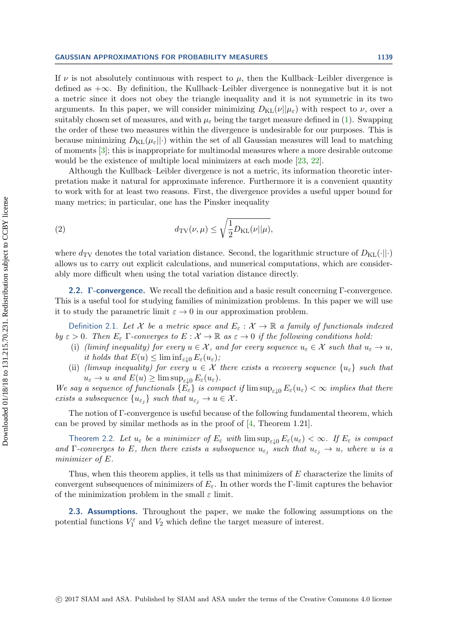If  $\nu$  is not absolutely continuous with respect to  $\mu$ , then the Kullback–Leibler divergence is defined as  $+\infty$ . By definition, the Kullback–Leibler divergence is nonnegative but it is not a metric since it does not obey the triangle inequality and it is not symmetric in its two arguments. In this paper, we will consider minimizing  $D_{KL}(\nu||\mu_{\varepsilon})$  with respect to  $\nu$ , over a suitably chosen set of measures, and with  $\mu_{\varepsilon}$  being the target measure defined in [\(1\)](#page-1-0). Swapping the order of these two measures within the divergence is undesirable for our purposes. This is because minimizing  $D_{KL}(\mu_{\varepsilon}||\cdot)$  within the set of all Gaussian measures will lead to matching of moments [\[3\]](#page-28-0); this is inappropriate for multimodal measures where a more desirable outcome would be the existence of multiple local minimizers at each mode [\[23,](#page-29-6) [22\]](#page-29-7).

Although the Kullback–Leibler divergence is not a metric, its information theoretic interpretation make it natural for approximate inference. Furthermore it is a convenient quantity to work with for at least two reasons. First, the divergence provides a useful upper bound for many metrics; in particular, one has the Pinsker inequality

<span id="page-3-4"></span>(2) 
$$
d_{\mathrm{TV}}(\nu,\mu) \leq \sqrt{\frac{1}{2}D_{\mathrm{KL}}(\nu||\mu)},
$$

where  $d_{\text{TV}}$  denotes the total variation distance. Second, the logarithmic structure of  $D_{\text{KL}}(\cdot||\cdot)$ allows us to carry out explicit calculations, and numerical computations, which are considerably more difficult when using the total variation distance directly.

<span id="page-3-0"></span>2.2. Γ-convergence. We recall the definition and a basic result concerning Γ-convergence. This is a useful tool for studying families of minimization problems. In this paper we will use it to study the parametric limit  $\varepsilon \to 0$  in our approximation problem.

<span id="page-3-2"></span>Definition 2.1. Let X be a metric space and  $E_{\varepsilon}: X \to \mathbb{R}$  a family of functionals indexed by  $\varepsilon > 0$ . Then  $E_{\varepsilon}$  Γ-converges to  $E : \mathcal{X} \to \mathbb{R}$  as  $\varepsilon \to 0$  if the following conditions hold:

- (i) (liminf inequality) for every  $u \in \mathcal{X}$ , and for every sequence  $u_{\varepsilon} \in \mathcal{X}$  such that  $u_{\varepsilon} \to u$ , it holds that  $E(u) \leq \liminf_{\varepsilon \downarrow 0} E_{\varepsilon}(u_{\varepsilon});$
- (ii) (limsup inequality) for every  $u \in \mathcal{X}$  there exists a recovery sequence  $\{u_{\varepsilon}\}\$  such that  $u_{\varepsilon} \to u$  and  $E(u) \ge \limsup_{\varepsilon \downarrow 0} E_{\varepsilon}(u_{\varepsilon}).$

We say a sequence of functionals  $\{E_{\varepsilon}\}\$ is compact if  $\limsup_{\varepsilon\downarrow 0} E_{\varepsilon}(u_{\varepsilon}) < \infty$  implies that there exists a subsequence  $\{u_{\varepsilon_j}\}\$  such that  $u_{\varepsilon_j}\to u\in\mathcal{X}$ .

The notion of Γ-convergence is useful because of the following fundamental theorem, which can be proved by similar methods as in the proof of [\[4,](#page-28-3) Theorem 1.21].

<span id="page-3-3"></span>Theorem 2.2. Let  $u_{\varepsilon}$  be a minimizer of  $E_{\varepsilon}$  with  $\limsup_{\varepsilon\downarrow 0} E_{\varepsilon}(u_{\varepsilon}) < \infty$ . If  $E_{\varepsilon}$  is compact and  $\Gamma$ -converges to E, then there exists a subsequence  $u_{\varepsilon_j}$  such that  $u_{\varepsilon_j} \to u$ , where u is a minimizer of E.

Thus, when this theorem applies, it tells us that minimizers of E characterize the limits of convergent subsequences of minimizers of  $E_{\varepsilon}$ . In other words the Γ-limit captures the behavior of the minimization problem in the small  $\varepsilon$  limit.

<span id="page-3-1"></span>2.3. Assumptions. Throughout the paper, we make the following assumptions on the potential functions  $V_1^{\varepsilon}$  and  $V_2$  which define the target measure of interest.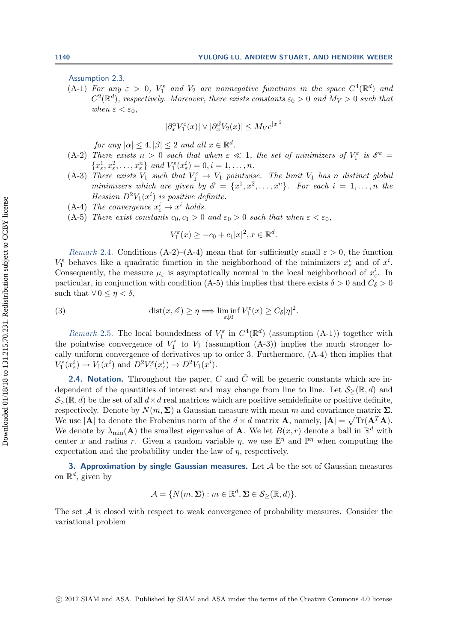<span id="page-4-2"></span>Assumption 2.3.

(A-1) For any  $\varepsilon > 0$ ,  $V_1^{\varepsilon}$  and  $V_2$  are nonnegative functions in the space  $C^4(\mathbb{R}^d)$  and  $C^2(\mathbb{R}^d)$ , respectively. Moreover, there exists constants  $\varepsilon_0 > 0$  and  $M_V > 0$  such that when  $\varepsilon < \varepsilon_0$ ,

$$
|\partial_x^{\alpha} V_1^{\varepsilon}(x)| \vee |\partial_x^{\beta} V_2(x)| \leq M_V e^{|x|^2}
$$

for any  $|\alpha| \leq 4, |\beta| \leq 2$  and all  $x \in \mathbb{R}^d$ .

- (A-2) There exists  $n > 0$  such that when  $\varepsilon \ll 1$ , the set of minimizers of  $V_1^{\varepsilon}$  is  $\mathscr{E}^{\varepsilon}$  =  ${x_{\varepsilon}^1, x_{\varepsilon}^2, \ldots, x_{\varepsilon}^n}$  and  $V_1^{\varepsilon}(x_{\varepsilon}^i) = 0, i = 1, \ldots, n$ .
- (A-3) There exists  $V_1$  such that  $V_1^{\varepsilon} \to V_1$  pointwise. The limit  $V_1$  has n distinct global minimizers which are given by  $\mathscr{E} = \{x^1, x^2, \ldots, x^n\}$ . For each  $i = 1, \ldots, n$  the Hessian  $D^2V_1(x^i)$  is positive definite.
- (A-4) The convergence  $x^i_\varepsilon \to x^i$  holds.
- (A-5) There exist constants  $c_0, c_1 > 0$  and  $\varepsilon_0 > 0$  such that when  $\varepsilon < \varepsilon_0$ ,

<span id="page-4-3"></span>
$$
V_1^{\varepsilon}(x) \ge -c_0 + c_1 |x|^2, x \in \mathbb{R}^d.
$$

Remark 2.4. Conditions (A-2)–(A-4) mean that for sufficiently small  $\varepsilon > 0$ , the function  $V_1^{\varepsilon}$  behaves like a quadratic function in the neighborhood of the minimizers  $x_{\varepsilon}^i$  and of  $x^i$ . Consequently, the measure  $\mu_{\varepsilon}$  is asymptotically normal in the local neighborhood of  $x_{\varepsilon}^{i}$ . In particular, in conjunction with condition (A-5) this implies that there exists  $\delta > 0$  and  $C_{\delta} > 0$ such that  $\forall 0 \leq \eta < \delta$ ,

(3) 
$$
\operatorname{dist}(x,\mathscr{E}) \geq \eta \Longrightarrow \liminf_{\varepsilon \downarrow 0} V_1^{\varepsilon}(x) \geq C_{\delta} |\eta|^2.
$$

Remark 2.5. The local boundedness of  $V_1^{\varepsilon}$  in  $C^4(\mathbb{R}^d)$  (assumption (A-1)) together with the pointwise convergence of  $V_1^{\varepsilon}$  to  $V_1$  (assumption (A-3)) implies the much stronger locally uniform convergence of derivatives up to order 3. Furthermore, (A-4) then implies that  $V_1^{\varepsilon}(x_{\varepsilon}^i) \to V_1(x^i)$  and  $D^2 V_1^{\varepsilon}(x_{\varepsilon}^i) \to D^2 V_1(x^i)$ .

<span id="page-4-0"></span>**2.4. Notation.** Throughout the paper, C and  $\tilde{C}$  will be generic constants which are independent of the quantities of interest and may change from line to line. Let  $S_{\geq}(\mathbb{R}, d)$  and  $\mathcal{S}_{>}(\mathbb{R}, d)$  be the set of all  $d \times d$  real matrices which are positive semidefinite or positive definite, respectively. Denote by  $N(m, \Sigma)$  a Gaussian measure with mean m and covariance matrix  $\Sigma$ . We use  $|\mathbf{A}|$  to denote the Frobenius norm of the  $d \times d$  matrix **A**, namely,  $|\mathbf{A}| = \sqrt{\text{Tr}(\mathbf{A}^T \mathbf{A})}$ . We denote by  $\lambda_{\min}(\mathbf{A})$  the smallest eigenvalue of **A**. We let  $B(x,r)$  denote a ball in  $\mathbb{R}^d$  with center x and radius r. Given a random variable  $\eta$ , we use  $\mathbb{E}^{\eta}$  and  $\mathbb{P}^{\eta}$  when computing the expectation and the probability under the law of  $\eta$ , respectively.

<span id="page-4-1"></span>3. Approximation by single Gaussian measures. Let  $A$  be the set of Gaussian measures on  $\mathbb{R}^d$ , given by

$$
\mathcal{A} = \{ N(m, \Sigma) : m \in \mathbb{R}^d, \Sigma \in \mathcal{S}_{\geq}(\mathbb{R}, d) \}.
$$

The set  $A$  is closed with respect to weak convergence of probability measures. Consider the variational problem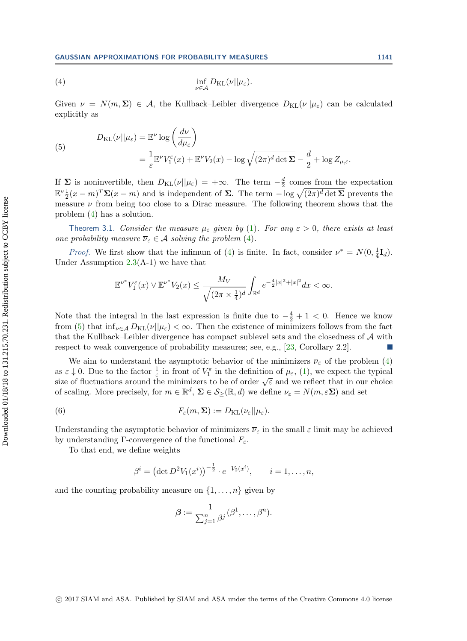<span id="page-5-0"></span>
$$
\inf_{\nu \in \mathcal{A}} D_{\text{KL}}(\nu || \mu_{\varepsilon}).
$$

Given  $\nu = N(m, \Sigma) \in \mathcal{A}$ , the Kullback–Leibler divergence  $D_{\text{KL}}(\nu||\mu_{\varepsilon})$  can be calculated explicitly as

<span id="page-5-1"></span>(5)  

$$
D_{\text{KL}}(\nu||\mu_{\varepsilon}) = \mathbb{E}^{\nu} \log \left(\frac{d\nu}{d\mu_{\varepsilon}}\right)
$$

$$
= \frac{1}{\varepsilon} \mathbb{E}^{\nu} V_1^{\varepsilon}(x) + \mathbb{E}^{\nu} V_2(x) - \log \sqrt{(2\pi)^d \det \Sigma} - \frac{d}{2} + \log Z_{\mu, \varepsilon}.
$$

If  $\Sigma$  is noninvertible, then  $D_{\text{KL}}(\nu||\mu_{\varepsilon}) = +\infty$ . The term  $-\frac{d}{2}$  $\frac{d}{2}$  comes from the expectation  $\mathbb{E}^{\nu} \frac{1}{2}(x-m)^{T} \Sigma(x-m)$  and is independent of  $\Sigma$ . The term  $-\log \sqrt{(2\pi)^{d} \det \Sigma}$  prevents the measure  $\nu$  from being too close to a Dirac measure. The following theorem shows that the problem [\(4\)](#page-5-0) has a solution.

Theorem 3.1. Consider the measure  $\mu_{\varepsilon}$  given by [\(1\)](#page-1-0). For any  $\varepsilon > 0$ , there exists at least one probability measure  $\overline{\nu}_{\varepsilon} \in \mathcal{A}$  solving the problem [\(4\)](#page-5-0).

*Proof.* We first show that the infimum of [\(4\)](#page-5-0) is finite. In fact, consider  $\nu^* = N(0, \frac{1}{4})$  $\frac{1}{4}\mathbf{I}_d$ ). Under Assumption [2.3\(](#page-4-2)A-1) we have that

<span id="page-5-3"></span>
$$
{\mathbb E}^{\nu^*}V_1^{\varepsilon}(x)\vee{\mathbb E}^{\nu^*}V_2(x)\leq \frac{M_V}{\sqrt{(2\pi\times\frac{1}{4})^d}}\int_{{\mathbb R}^d}e^{-\frac{4}{2}|x|^2+|x|^2}dx<\infty.
$$

Note that the integral in the last expression is finite due to  $-\frac{4}{2}+1 < 0$ . Hence we know from [\(5\)](#page-5-1) that  $\inf_{\nu \in A} D_{KL}(\nu||\mu_{\varepsilon}) < \infty$ . Then the existence of minimizers follows from the fact that the Kullback–Leibler divergence has compact sublevel sets and the closedness of  $A$  with respect to weak convergence of probability measures; see, e.g., [\[23,](#page-29-6) Corollary 2.2].

We aim to understand the asymptotic behavior of the minimizers  $\bar{\nu}_{\varepsilon}$  of the problem [\(4\)](#page-5-0) as  $\varepsilon \downarrow 0$ . Due to the factor  $\frac{1}{\varepsilon}$  in front of  $V_1^{\varepsilon}$  in the definition of  $\mu_{\varepsilon}$ , [\(1\)](#page-1-0), we expect the typical size of fluctuations around the minimizers to be of order  $\sqrt{\varepsilon}$  and we reflect that in our choice of scaling. More precisely, for  $m \in \mathbb{R}^d$ ,  $\Sigma \in \mathcal{S}_{\geq}(\mathbb{R},d)$  we define  $\nu_{\varepsilon} = N(m,\varepsilon \Sigma)$  and set

<span id="page-5-2"></span>(6) 
$$
F_{\varepsilon}(m, \Sigma) := D_{\text{KL}}(\nu_{\varepsilon}||\mu_{\varepsilon}).
$$

Understanding the asymptotic behavior of minimizers  $\overline{\nu}_{\varepsilon}$  in the small  $\varepsilon$  limit may be achieved by understanding Γ-convergence of the functional  $F_{\varepsilon}$ .

To that end, we define weights

$$
\beta^{i} = (\det D^{2}V_{1}(x^{i}))^{-\frac{1}{2}} \cdot e^{-V_{2}(x^{i})}, \qquad i = 1, \ldots, n,
$$

and the counting probability measure on  $\{1, \ldots, n\}$  given by

$$
\boldsymbol{\beta} := \frac{1}{\sum_{j=1}^n \beta^j} (\beta^1, \dots, \beta^n).
$$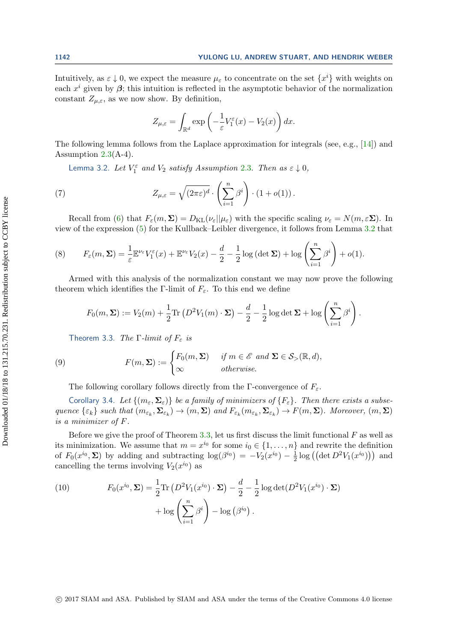Intuitively, as  $\varepsilon \downarrow 0$ , we expect the measure  $\mu_{\varepsilon}$  to concentrate on the set  $\{x^i\}$  with weights on each  $x^i$  given by  $\beta$ ; this intuition is reflected in the asymptotic behavior of the normalization constant  $Z_{\mu,\varepsilon}$ , as we now show. By definition,

$$
Z_{\mu,\varepsilon} = \int_{\mathbb{R}^d} \exp\left(-\frac{1}{\varepsilon}V_1^{\varepsilon}(x) - V_2(x)\right) dx.
$$

The following lemma follows from the Laplace approximation for integrals (see, e.g., [\[14\]](#page-29-8)) and Assumption [2.3\(](#page-4-2)A-4).

<span id="page-6-0"></span>Lemma 3.2. Let  $V_1^{\varepsilon}$  and  $V_2$  satisfy Assumption [2.3.](#page-4-2) Then as  $\varepsilon \downarrow 0$ ,

(7) 
$$
Z_{\mu,\varepsilon} = \sqrt{(2\pi\varepsilon)^d} \cdot \left(\sum_{i=1}^n \beta^i\right) \cdot (1 + o(1)).
$$

Recall from [\(6\)](#page-5-2) that  $F_{\varepsilon}(m,\Sigma) = D_{\text{KL}}(\nu_{\varepsilon}||\mu_{\varepsilon})$  with the specific scaling  $\nu_{\varepsilon} = N(m,\varepsilon\Sigma)$ . In view of the expression [\(5\)](#page-5-1) for the Kullback–Leibler divergence, it follows from Lemma [3.2](#page-6-0) that

<span id="page-6-4"></span>(8) 
$$
F_{\varepsilon}(m, \Sigma) = \frac{1}{\varepsilon} \mathbb{E}^{\nu_{\varepsilon}} V_1^{\varepsilon}(x) + \mathbb{E}^{\nu_{\varepsilon}} V_2(x) - \frac{d}{2} - \frac{1}{2} \log \left( \det \Sigma \right) + \log \left( \sum_{i=1}^n \beta^i \right) + o(1).
$$

Armed with this analysis of the normalization constant we may now prove the following theorem which identifies the Γ-limit of  $F_{\varepsilon}$ . To this end we define

<span id="page-6-3"></span>
$$
F_0(m,\Sigma) := V_2(m) + \frac{1}{2}\text{Tr}\left(D^2V_1(m)\cdot\Sigma\right) - \frac{d}{2} - \frac{1}{2}\log\det\Sigma + \log\left(\sum_{i=1}^n\beta^i\right).
$$

<span id="page-6-1"></span>Theorem 3.3. The Γ-limit of  $F_{\varepsilon}$  is

<span id="page-6-5"></span>(9) 
$$
F(m, \Sigma) := \begin{cases} F_0(m, \Sigma) & \text{if } m \in \mathscr{E} \text{ and } \Sigma \in \mathcal{S}_>(\mathbb{R}, d), \\ \infty & \text{otherwise.} \end{cases}
$$

The following corollary follows directly from the Γ-convergence of  $F_{\varepsilon}$ .

Corollary 3.4. Let  $\{(m_{\varepsilon}, \Sigma_{\varepsilon})\}$  be a family of minimizers of  $\{F_{\varepsilon}\}\$ . Then there exists a subsequence  $\{\varepsilon_k\}$  such that  $(m_{\varepsilon_k}, \Sigma_{\varepsilon_k}) \to (m, \Sigma)$  and  $F_{\varepsilon_k}(m_{\varepsilon_k}, \Sigma_{\varepsilon_k}) \to F(m, \Sigma)$ . Moreover,  $(m, \Sigma)$ is a minimizer of F.

Before we give the proof of Theorem [3.3,](#page-6-1) let us first discuss the limit functional  $F$  as well as its minimization. We assume that  $m = x^{i_0}$  for some  $i_0 \in \{1, ..., n\}$  and rewrite the definition of  $F_0(x^{i_0}, \Sigma)$  by adding and subtracting  $\log(\beta^{i_0}) = -V_2(x^{i_0}) - \frac{1}{2}$  $\frac{1}{2} \log \left( \left( \det D^2 V_1(x^{i_0}) \right) \right)$  and cancelling the terms involving  $V_2(x^{i_0})$  as

<span id="page-6-2"></span>(10) 
$$
F_0(x^{i_0}, \Sigma) = \frac{1}{2} \text{Tr} \left( D^2 V_1(x^{i_0}) \cdot \Sigma \right) - \frac{d}{2} - \frac{1}{2} \log \det(D^2 V_1(x^{i_0}) \cdot \Sigma) + \log \left( \sum_{i=1}^n \beta^i \right) - \log \left( \beta^{i_0} \right).
$$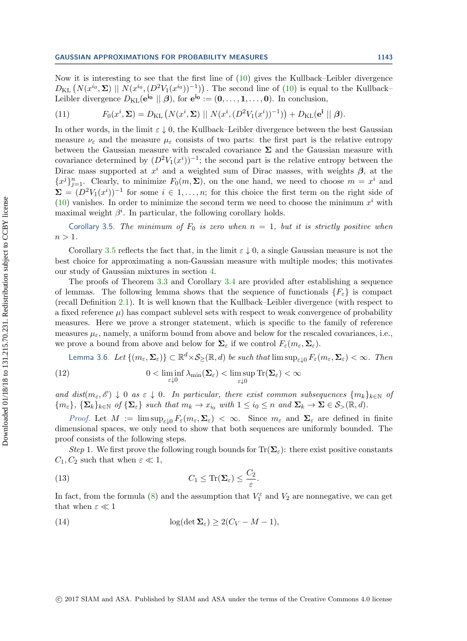Now it is interesting to see that the first line of [\(10\)](#page-6-2) gives the Kullback–Leibler divergence  $D_{\text{KL}}\left(N(x^{i_0},\boldsymbol{\Sigma})\parallel N(x^{i_0},(D^2V_1(x^{i_0}))^{-1})\right)$ . The second line of [\(10\)](#page-6-2) is equal to the Kullback– Leibler divergence  $D_{\text{KL}}(e^{i\theta} \mid \mid \beta)$ , for  $e^{i\theta} := (0, \ldots, 1, \ldots, 0)$ . In conclusion,

<span id="page-7-5"></span>(11) 
$$
F_0(x^i, \Sigma) = D_{\text{KL}}\left(N(x^i, \Sigma) \mid N(x^i, (D^2 V_1(x^i))^{-1})\right) + D_{\text{KL}}(e^i \mid \mid \beta).
$$

In other words, in the limit  $\varepsilon \downarrow 0$ , the Kullback–Leibler divergence between the best Gaussian measure  $\nu_{\varepsilon}$  and the measure  $\mu_{\varepsilon}$  consists of two parts: the first part is the relative entropy between the Gaussian measure with rescaled covariance  $\Sigma$  and the Gaussian measure with covariance determined by  $(D^2 V_1(x^i))^{-1}$ ; the second part is the relative entropy between the Dirac mass supported at  $x^i$  and a weighted sum of Dirac masses, with weights  $\beta$ , at the  ${x^{j}}_{j=1}^{n}$ . Clearly, to minimize  $F_0(m,\Sigma)$ , on the one hand, we need to choose  $m = x^{i}$  and  $\Sigma = (D^2 V_1(x^i))^{-1}$  for some  $i \in 1, \ldots, n$ ; for this choice the first term on the right side of [\(10\)](#page-6-2) vanishes. In order to minimize the second term we need to choose the minimum  $x^i$  with maximal weight  $\beta^i$ . In particular, the following corollary holds.

<span id="page-7-0"></span>Corollary 3.5. The minimum of  $F_0$  is zero when  $n = 1$ , but it is strictly positive when  $n > 1$ .

Corollary [3.5](#page-7-0) reflects the fact that, in the limit  $\varepsilon \downarrow 0$ , a single Gaussian measure is not the best choice for approximating a non-Gaussian measure with multiple modes; this motivates our study of Gaussian mixtures in section [4.](#page-12-0)

The proofs of Theorem [3.3](#page-6-1) and Corollary [3.4](#page-6-3) are provided after establishing a sequence of lemmas. The following lemma shows that the sequence of functionals  $\{F_{\varepsilon}\}\)$  is compact (recall Definition [2.1\)](#page-3-2). It is well known that the Kullback–Leibler divergence (with respect to a fixed reference  $\mu$ ) has compact sublevel sets with respect to weak convergence of probability measures. Here we prove a stronger statement, which is specific to the family of reference measures  $\mu_{\varepsilon}$ , namely, a uniform bound from above and below for the rescaled covariances, i.e., we prove a bound from above and below for  $\Sigma_{\varepsilon}$  if we control  $F_{\varepsilon}(m_{\varepsilon}, \Sigma_{\varepsilon})$ .

<span id="page-7-4"></span>Lemma 3.6. Let  $\{(m_\varepsilon, \mathbf{\Sigma}_\varepsilon)\} \subset \mathbb{R}^d \times \mathcal{S}_\geq (\mathbb{R},d)$  be such that  $\limsup_{\varepsilon \downarrow 0} F_\varepsilon(m_\varepsilon, \mathbf{\Sigma}_\varepsilon) < \infty$ . Then

<span id="page-7-3"></span>(12) 
$$
0 < \liminf_{\varepsilon \downarrow 0} \lambda_{\min}(\Sigma_{\varepsilon}) < \limsup_{\varepsilon \downarrow 0} \text{Tr}(\Sigma_{\varepsilon}) < \infty
$$

and  $dist(m_{\varepsilon}, \mathscr{E}) \downarrow 0$  as  $\varepsilon \downarrow 0$ . In particular, there exist common subsequences  $\{m_k\}_{k\in\mathbb{N}}$  of  ${\{m_{\varepsilon}\}}$ ,  ${\{\Sigma_k\}}_{k\in\mathbb{N}}$  of  ${\{\Sigma_{\varepsilon}\}}$  such that  $m_k \to x_{i_0}$  with  $1 \leq i_0 \leq n$  and  $\Sigma_k \to \Sigma \in \mathcal{S}_{>}(\mathbb{R},d)$ .

Proof. Let  $M := \limsup_{\varepsilon \downarrow 0} F_{\varepsilon}(m_{\varepsilon}, \Sigma_{\varepsilon}) < \infty$ . Since  $m_{\varepsilon}$  and  $\Sigma_{\varepsilon}$  are defined in finite dimensional spaces, we only need to show that both sequences are uniformly bounded. The proof consists of the following steps.

Step 1. We first prove the following rough bounds for  $Tr(\Sigma_{\varepsilon})$ : there exist positive constants  $C_1, C_2$  such that when  $\varepsilon \ll 1$ ,

<span id="page-7-1"></span>(13) 
$$
C_1 \leq \text{Tr}(\Sigma_{\varepsilon}) \leq \frac{C_2}{\varepsilon}.
$$

In fact, from the formula [\(8\)](#page-6-4) and the assumption that  $V_1^{\varepsilon}$  and  $V_2$  are nonnegative, we can get that when  $\varepsilon \ll 1$ 

<span id="page-7-2"></span>(14) 
$$
\log(\det \Sigma_{\varepsilon}) \ge 2(C_V - M - 1),
$$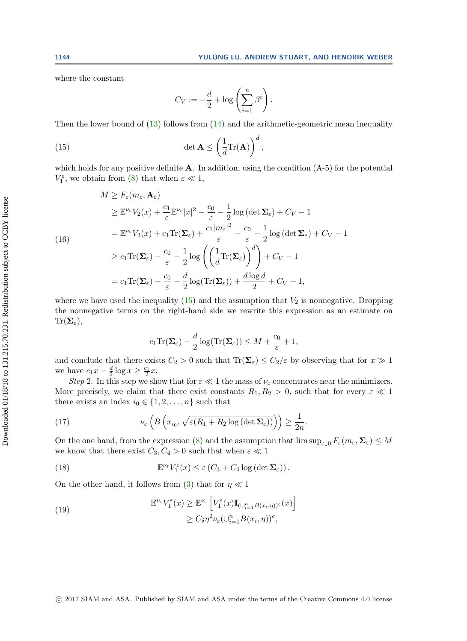where the constant

$$
C_V := -\frac{d}{2} + \log\left(\sum_{i=1}^n \beta^i\right).
$$

Then the lower bound of  $(13)$  follows from  $(14)$  and the arithmetic-geometric mean inequality

<span id="page-8-0"></span>(15) 
$$
\det \mathbf{A} \le \left(\frac{1}{d} \text{Tr}(\mathbf{A})\right)^d,
$$

which holds for any positive definite  $\bf{A}$ . In addition, using the condition  $(A-5)$  for the potential  $V_1^{\varepsilon}$ , we obtain from [\(8\)](#page-6-4) that when  $\varepsilon \ll 1$ ,

$$
M \ge F_{\varepsilon}(m_{\varepsilon}, \mathbf{A}_{\varepsilon})
$$
  
\n
$$
\ge \mathbb{E}^{\nu_{\varepsilon}} V_2(x) + \frac{c_1}{\varepsilon} \mathbb{E}^{\nu_{\varepsilon}} |x|^2 - \frac{c_0}{\varepsilon} - \frac{1}{2} \log \left( \det \mathbf{\Sigma}_{\varepsilon} \right) + C_V - 1
$$
  
\n
$$
= \mathbb{E}^{\nu_{\varepsilon}} V_2(x) + c_1 \text{Tr}(\mathbf{\Sigma}_{\varepsilon}) + \frac{c_1 |m_{\varepsilon}|^2}{\varepsilon} - \frac{c_0}{\varepsilon} - \frac{1}{2} \log \left( \det \mathbf{\Sigma}_{\varepsilon} \right) + C_V - 1
$$
  
\n
$$
\ge c_1 \text{Tr}(\mathbf{\Sigma}_{\varepsilon}) - \frac{c_0}{\varepsilon} - \frac{1}{2} \log \left( \left( \frac{1}{d} \text{Tr}(\mathbf{\Sigma}_{\varepsilon}) \right)^d \right) + C_V - 1
$$
  
\n
$$
= c_1 \text{Tr}(\mathbf{\Sigma}_{\varepsilon}) - \frac{c_0}{\varepsilon} - \frac{d}{2} \log(\text{Tr}(\mathbf{\Sigma}_{\varepsilon})) + \frac{d \log d}{2} + C_V - 1,
$$

where we have used the inequality  $(15)$  and the assumption that  $V_2$  is nonnegative. Dropping the nonnegative terms on the right-hand side we rewrite this expression as an estimate on  $\text{Tr}(\boldsymbol{\Sigma}_{\varepsilon}),$ 

$$
c_1 \text{Tr}(\mathbf{\Sigma}_{\varepsilon}) - \frac{d}{2} \log(\text{Tr}(\mathbf{\Sigma}_{\varepsilon})) \leq M + \frac{c_0}{\varepsilon} + 1,
$$

and conclude that there exists  $C_2 > 0$  such that  $\text{Tr}(\Sigma_\varepsilon) \leq C_2/\varepsilon$  by observing that for  $x \gg 1$ we have  $c_1x-\frac{d}{2}$  $rac{d}{2}\log x \geq \frac{c_1}{2}x.$ 

Step 2. In this step we show that for  $\varepsilon \ll 1$  the mass of  $\nu_{\varepsilon}$  concentrates near the minimizers. More precisely, we claim that there exist constants  $R_1, R_2 > 0$ , such that for every  $\varepsilon \ll 1$ there exists an index  $i_0 \in \{1, 2, ..., n\}$  such that

<span id="page-8-2"></span>(17) 
$$
\nu_{\varepsilon}\left(B\left(x_{i_0},\sqrt{\varepsilon(R_1+R_2\log\left(\det\mathbf{\Sigma}_{\varepsilon}\right))}\right)\right)\geq\frac{1}{2n}.
$$

On the one hand, from the expression [\(8\)](#page-6-4) and the assumption that  $\limsup_{\varepsilon\downarrow 0} F_{\varepsilon}(m_{\varepsilon},\Sigma_{\varepsilon}) \leq M$ we know that there exist  $C_3, C_4 > 0$  such that when  $\varepsilon \ll 1$ 

<span id="page-8-1"></span>(18) 
$$
\mathbb{E}^{\nu_{\varepsilon}}V_1^{\varepsilon}(x)\leq \varepsilon (C_3+C_4\log\left(\det\mathbf{\Sigma}_{\varepsilon}\right)).
$$

On the other hand, it follows from [\(3\)](#page-4-3) that for  $\eta \ll 1$ 

(19)  
\n
$$
\mathbb{E}^{\nu_{\varepsilon}} V_1^{\varepsilon}(x) \geq \mathbb{E}^{\nu_{\varepsilon}} \left[ V_1^{\varepsilon}(x) \mathbf{I}_{(\cup_{i=1}^n B(x_i, \eta))^c}(x) \right]
$$
\n
$$
\geq C_{\delta} \eta^2 \nu_{\varepsilon} (\cup_{i=1}^n B(x_i, \eta))^c,
$$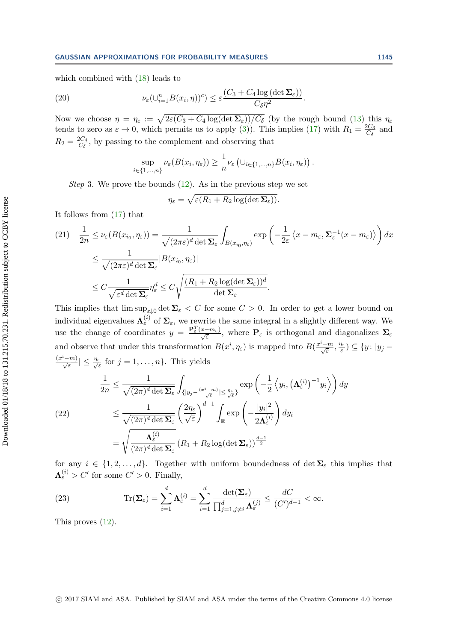which combined with [\(18\)](#page-8-1) leads to

<span id="page-9-0"></span>(20) 
$$
\nu_{\varepsilon}(\cup_{i=1}^{n} B(x_i, \eta))^c) \leq \varepsilon \frac{(C_3 + C_4 \log (\det \Sigma_{\varepsilon}))}{C_{\delta} \eta^2}.
$$

Now we choose  $\eta = \eta_{\varepsilon} := \sqrt{2\varepsilon (C_3 + C_4 \log(\det \Sigma_{\varepsilon}))/C_{\delta}}$  (by the rough bound [\(13\)](#page-7-1) this  $\eta_{\varepsilon}$ tends to zero as  $\varepsilon \to 0$ , which permits us to apply [\(3\)](#page-4-3)). This implies [\(17\)](#page-8-2) with  $R_1 = \frac{2C_3}{Cs}$  $\frac{2C_3}{C_\delta}$  and  $R_2=\frac{2C_4}{C_5}$  $\frac{2C_4}{C_\delta}$ , by passing to the complement and observing that

$$
\sup_{i\in\{1,\ldots,n\}}\nu_{\varepsilon}(B(x_i,\eta_{\varepsilon}))\geq \frac{1}{n}\nu_{\varepsilon}\left(\cup_{i\in\{1,\ldots,n\}}B(x_i,\eta_{\varepsilon})\right).
$$

Step 3. We prove the bounds  $(12)$ . As in the previous step we set

$$
\eta_{\varepsilon} = \sqrt{\varepsilon (R_1 + R_2 \log(\det \Sigma_{\varepsilon}))}.
$$

It follows from [\(17\)](#page-8-2) that

$$
(21) \quad \frac{1}{2n} \leq \nu_{\varepsilon}(B(x_{i_0}, \eta_{\varepsilon})) = \frac{1}{\sqrt{(2\pi\varepsilon)^d \det \Sigma_{\varepsilon}}} \int_{B(x_{i_0}, \eta_{\varepsilon})} \exp\left(-\frac{1}{2\varepsilon} \langle x - m_{\varepsilon}, \Sigma_{\varepsilon}^{-1}(x - m_{\varepsilon})\rangle\right) dx
$$

$$
\leq \frac{1}{\sqrt{(2\pi\varepsilon)^d \det \Sigma_{\varepsilon}}} |B(x_{i_0}, \eta_{\varepsilon})|
$$

$$
\leq C \frac{1}{\sqrt{\varepsilon^d \det \Sigma_{\varepsilon}}} \eta_{\varepsilon}^d \leq C \sqrt{\frac{(R_1 + R_2 \log(\det \Sigma_{\varepsilon}))^d}{\det \Sigma_{\varepsilon}}}.
$$

This implies that  $\limsup_{\varepsilon\downarrow 0} \det \Sigma_{\varepsilon} < C$  for some  $C > 0$ . In order to get a lower bound on individual eigenvalues  $\Lambda_{\varepsilon}^{(i)}$  of  $\Sigma_{\varepsilon}$ , we rewrite the same integral in a slightly different way. We use the change of coordinates  $y = \frac{\mathbf{P}_{\varepsilon}^T(x-m_{\varepsilon})}{\sqrt{\varepsilon}},$  where  $\mathbf{P}_{\varepsilon}$  is orthogonal and diagonalizes  $\Sigma_{\varepsilon}$ and observe that under this transformation  $B(x^i, \eta_{\varepsilon})$  is mapped into  $B(\frac{x^i - m}{\sqrt{\varepsilon}}, \frac{\eta_{\varepsilon}}{\varepsilon})$  $\frac{\partial \varepsilon}{\varepsilon}\big) \subseteq \{y\colon |y_j \frac{(x^i-m)}{\sqrt{\varepsilon}}|\leq \frac{\eta_\varepsilon}{\sqrt{\varepsilon}}$  $\frac{\varepsilon}{\varepsilon}$  for  $j = 1, \ldots, n$ . This yields

$$
\frac{1}{2n} \leq \frac{1}{\sqrt{(2\pi)^d \det \Sigma_{\varepsilon}}} \int_{\{|y_j - \frac{(x^i - m)}{\sqrt{\varepsilon}}| \leq \frac{\eta_{\varepsilon}}{\sqrt{\varepsilon}}\}} \exp\left(-\frac{1}{2} \left\langle y_i, \left(\Lambda_{\varepsilon}^{(i)}\right)^{-1} y_i \right\rangle\right) dy
$$
\n
$$
\leq \frac{1}{\sqrt{(2\pi)^d \det \Sigma_{\varepsilon}}} \left(\frac{2\eta_{\varepsilon}}{\sqrt{\varepsilon}}\right)^{d-1} \int_{\mathbb{R}} \exp\left(-\frac{|y_i|^2}{2\Lambda_{\varepsilon}^{(i)}}\right) dy_i
$$
\n
$$
= \sqrt{\frac{\Lambda_{\varepsilon}^{(i)}}{(2\pi)^d \det \Sigma_{\varepsilon}} \left(R_1 + R_2 \log(\det \Sigma_{\varepsilon})\right)^{\frac{d-1}{2}}}
$$

for any  $i \in \{1, 2, ..., d\}$ . Together with uniform boundedness of det  $\Sigma_{\varepsilon}$  this implies that  $\mathbf{\Lambda}_{\varepsilon}^{(i)} > C'$  for some  $C' > 0$ . Finally,

(23) 
$$
\operatorname{Tr}(\mathbf{\Sigma}_{\varepsilon}) = \sum_{i=1}^{d} \mathbf{\Lambda}_{\varepsilon}^{(i)} = \sum_{i=1}^{d} \frac{\det(\mathbf{\Sigma}_{\varepsilon})}{\prod_{j=1, j \neq i}^{d} \mathbf{\Lambda}_{\varepsilon}^{(j)}} \leq \frac{dC}{(C')^{d-1}} < \infty.
$$

This proves [\(12\)](#page-7-3).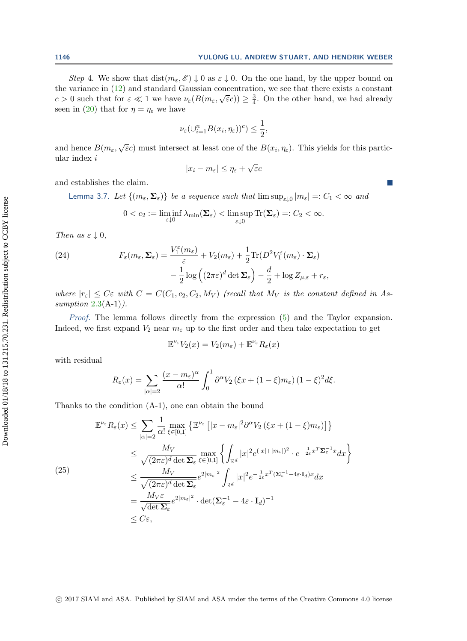$\mathcal{C}^{\mathcal{A}}$ 

Step 4. We show that  $dist(m_{\varepsilon}, \mathscr{E}) \downarrow 0$  as  $\varepsilon \downarrow 0$ . On the one hand, by the upper bound on the variance in [\(12\)](#page-7-3) and standard Gaussian concentration, we see that there exists a constant c > 0 such that for  $\varepsilon \ll 1$  we have  $\nu_{\varepsilon}(B(m_{\varepsilon},\sqrt{\varepsilon}c)) \geq \frac{3}{4}$  $\frac{3}{4}$ . On the other hand, we had already seen in [\(20\)](#page-9-0) that for  $\eta = \eta_{\varepsilon}$  we have

$$
\nu_{\varepsilon}(\cup_{i=1}^n B(x_i,\eta_{\varepsilon}))^c) \leq \frac{1}{2},
$$

and hence  $B(m_\varepsilon, \sqrt{\varepsilon}c)$  must intersect at least one of the  $B(x_i, \eta_{\varepsilon})$ . This yields for this particular index  $i$ √

$$
|x_i - m_{\varepsilon}| \leq \eta_{\varepsilon} + \sqrt{\varepsilon}c
$$

<span id="page-10-1"></span>and establishes the claim.

Lemma 3.7. Let  $\{(m_\varepsilon, \mathbf{\Sigma}_\varepsilon)\}$  be a sequence such that  $\limsup_{\varepsilon\downarrow 0}|m_\varepsilon|=:C_1<\infty$  and

$$
0 < c_2 := \liminf_{\varepsilon \downarrow 0} \lambda_{\min}(\mathbf{\Sigma}_{\varepsilon}) < \limsup_{\varepsilon \downarrow 0} \text{Tr}(\mathbf{\Sigma}_{\varepsilon}) =: C_2 < \infty.
$$

Then as  $\varepsilon \downarrow 0$ ,

<span id="page-10-0"></span>(24) 
$$
F_{\varepsilon}(m_{\varepsilon}, \Sigma_{\varepsilon}) = \frac{V_{1}^{\varepsilon}(m_{\varepsilon})}{\varepsilon} + V_{2}(m_{\varepsilon}) + \frac{1}{2} \text{Tr}(D^{2} V_{1}^{\varepsilon}(m_{\varepsilon}) \cdot \Sigma_{\varepsilon}) - \frac{1}{2} \log \left( (2\pi\varepsilon)^{d} \det \Sigma_{\varepsilon} \right) - \frac{d}{2} + \log Z_{\mu, \varepsilon} + r_{\varepsilon},
$$

where  $|r_{\varepsilon}| \leq C\varepsilon$  with  $C = C(C_1, c_2, C_2, M_V)$  (recall that  $M_V$  is the constant defined in Assumption  $2.3(A-1)$  $2.3(A-1)$ .

Proof. The lemma follows directly from the expression [\(5\)](#page-5-1) and the Taylor expansion. Indeed, we first expand  $V_2$  near  $m_{\varepsilon}$  up to the first order and then take expectation to get

$$
\mathbb{E}^{\nu_{\varepsilon}}V_2(x)=V_2(m_{\varepsilon})+\mathbb{E}^{\nu_{\varepsilon}}R_{\varepsilon}(x)
$$

with residual

$$
R_{\varepsilon}(x) = \sum_{|\alpha|=2} \frac{(x - m_{\varepsilon})^{\alpha}}{\alpha!} \int_0^1 \partial^{\alpha} V_2 \left(\xi x + (1 - \xi) m_{\varepsilon}\right) (1 - \xi)^2 d\xi.
$$

Thanks to the condition (A-1), one can obtain the bound

$$
\mathbb{E}^{\nu_{\varepsilon}} R_{\varepsilon}(x) \leq \sum_{|\alpha|=2} \frac{1}{\alpha!} \max_{\xi \in [0,1]} \left\{ \mathbb{E}^{\nu_{\varepsilon}} \left[ |x - m_{\varepsilon}|^2 \partial^{\alpha} V_2 \left( \xi x + (1 - \xi) m_{\varepsilon} \right) \right] \right\}
$$
\n
$$
\leq \frac{M_V}{\sqrt{(2\pi\varepsilon)^d \det \Sigma_{\varepsilon}}} \max_{\xi \in [0,1]} \left\{ \int_{\mathbb{R}^d} |x|^2 e^{(|x| + |m_{\varepsilon}|)^2} \cdot e^{-\frac{1}{2\varepsilon} x^T \Sigma_{\varepsilon}^{-1} x} dx \right\}
$$
\n(25)\n
$$
\leq \frac{M_V}{\sqrt{(2\pi\varepsilon)^d \det \Sigma_{\varepsilon}}} e^{2|m_{\varepsilon}|^2} \int_{\mathbb{R}^d} |x|^2 e^{-\frac{1}{2\varepsilon} x^T (\Sigma_{\varepsilon}^{-1} - 4\varepsilon \cdot \mathbf{I}_d) x} dx
$$
\n
$$
= \frac{M_V \varepsilon}{\sqrt{\det \Sigma_{\varepsilon}}} e^{2|m_{\varepsilon}|^2} \cdot \det (\Sigma_{\varepsilon}^{-1} - 4\varepsilon \cdot \mathbf{I}_d)^{-1}
$$
\n
$$
\leq C\varepsilon,
$$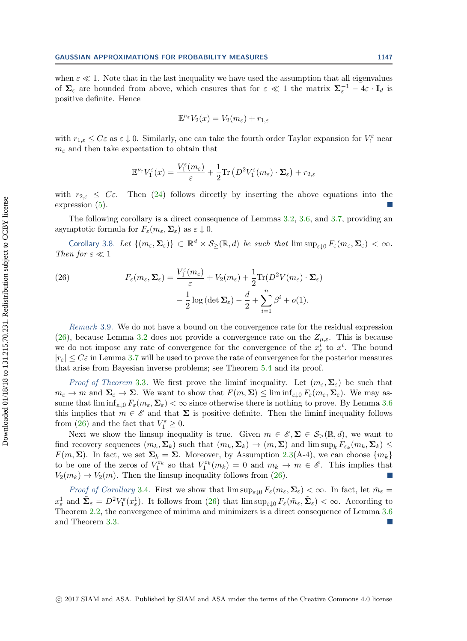when  $\varepsilon \ll 1$ . Note that in the last inequality we have used the assumption that all eigenvalues of  $\Sigma_{\varepsilon}$  are bounded from above, which ensures that for  $\varepsilon \ll 1$  the matrix  $\Sigma_{\varepsilon}^{-1} - 4\varepsilon \cdot I_d$  is positive definite. Hence

$$
\mathbb{E}^{\nu_{\varepsilon}}V_2(x) = V_2(m_{\varepsilon}) + r_{1,\varepsilon}
$$

with  $r_{1,\varepsilon} \leq C\varepsilon$  as  $\varepsilon \downarrow 0$ . Similarly, one can take the fourth order Taylor expansion for  $V_1^{\varepsilon}$  near  $m<sub>\varepsilon</sub>$  and then take expectation to obtain that

$$
\mathbb{E}^{\nu_{\varepsilon}} V_{1}^{\varepsilon}(x)=\frac{V_{1}^{\varepsilon}(m_{\varepsilon})}{\varepsilon}+\frac{1}{2}\text{Tr}\left(D^{2}V_{1}^{\varepsilon}(m_{\varepsilon})\cdot\mathbf{\Sigma}_{\varepsilon}\right)+r_{2,\varepsilon}
$$

with  $r_{2,\varepsilon} \leq C\varepsilon$ . Then [\(24\)](#page-10-0) follows directly by inserting the above equations into the expression [\(5\)](#page-5-1).

The following corollary is a direct consequence of Lemmas [3.2,](#page-6-0) [3.6,](#page-7-4) and [3.7,](#page-10-1) providing an asymptotic formula for  $F_{\varepsilon}(m_{\varepsilon}, \Sigma_{\varepsilon})$  as  $\varepsilon \downarrow 0$ .

Corollary 3.8. Let  $\{(m_{\varepsilon}, \Sigma_{\varepsilon})\} \subset \mathbb{R}^d \times \mathcal{S}_{\geq}(\mathbb{R}, d)$  be such that  $\limsup_{\varepsilon \downarrow 0} F_{\varepsilon}(m_{\varepsilon}, \Sigma_{\varepsilon}) < \infty$ . Then for  $\varepsilon \ll 1$ 

<span id="page-11-0"></span>(26) 
$$
F_{\varepsilon}(m_{\varepsilon}, \Sigma_{\varepsilon}) = \frac{V_{1}^{\varepsilon}(m_{\varepsilon})}{\varepsilon} + V_{2}(m_{\varepsilon}) + \frac{1}{2} \text{Tr}(D^{2}V(m_{\varepsilon}) \cdot \Sigma_{\varepsilon}) - \frac{1}{2} \log \left( \det \Sigma_{\varepsilon} \right) - \frac{d}{2} + \sum_{i=1}^{n} \beta^{i} + o(1).
$$

<span id="page-11-1"></span>Remark 3.9. We do not have a bound on the convergence rate for the residual expression [\(26\)](#page-11-0), because Lemma [3.2](#page-6-0) does not provide a convergence rate on the  $Z_{\mu,\varepsilon}$ . This is because we do not impose any rate of convergence for the convergence of the  $x_{\varepsilon}^i$  to  $x^i$ . The bound  $|r_{\varepsilon}| \leq C\varepsilon$  in Lemma [3.7](#page-10-1) will be used to prove the rate of convergence for the posterior measures that arise from Bayesian inverse problems; see Theorem [5.4](#page-23-0) and its proof.

*Proof of Theorem* [3.3](#page-6-1). We first prove the liminf inequality. Let  $(m_{\varepsilon}, \Sigma_{\varepsilon})$  be such that  $m_{\varepsilon} \to m$  and  $\Sigma_{\varepsilon} \to \Sigma$ . We want to show that  $F(m, \Sigma) \leq \liminf_{\varepsilon \downarrow 0} F_{\varepsilon}(m_{\varepsilon}, \Sigma_{\varepsilon})$ . We may assume that  $\liminf_{\varepsilon\downarrow 0} F_{\varepsilon}(m_{\varepsilon},\Sigma_{\varepsilon}) < \infty$  since otherwise there is nothing to prove. By Lemma [3.6](#page-7-4) this implies that  $m \in \mathscr{E}$  and that  $\Sigma$  is positive definite. Then the liminf inequality follows from [\(26\)](#page-11-0) and the fact that  $V_1^{\varepsilon} \geq 0$ .

Next we show the limsup inequality is true. Given  $m \in \mathscr{E}, \Sigma \in \mathcal{S}_{>}(\mathbb{R}, d)$ , we want to find recovery sequences  $(m_k, \Sigma_k)$  such that  $(m_k, \Sigma_k) \to (m, \Sigma)$  and  $\limsup_k F_{\varepsilon_k}(m_k, \Sigma_k) \le$  $F(m, \Sigma)$ . In fact, we set  $\Sigma_k = \Sigma$ . Moreover, by Assumption [2.3\(](#page-4-2)A-4), we can choose  $\{m_k\}$ to be one of the zeros of  $V_1^{\varepsilon_k}$  so that  $V_1^{\varepsilon_k}(m_k) = 0$  and  $m_k \to m \in \mathscr{E}$ . This implies that  $V_2(m_k) \rightarrow V_2(m)$ . Then the limsup inequality follows from [\(26\)](#page-11-0).

*Proof of Corollary* [3.4](#page-6-3). First we show that  $\limsup_{\varepsilon\downarrow 0} F_{\varepsilon}(m_{\varepsilon}, \Sigma_{\varepsilon}) < \infty$ . In fact, let  $\tilde{m}_{\varepsilon} =$  $x_{\varepsilon}^1$  and  $\tilde{\Sigma}_{\varepsilon} = D^2 V_1^{\varepsilon}(x_{\varepsilon}^1)$ . It follows from  $(26)$  that  $\limsup_{\varepsilon \downarrow 0} F_{\varepsilon}(\tilde{m}_{\varepsilon}, \tilde{\Sigma}_{\varepsilon}) < \infty$ . According to Theorem [2.2,](#page-3-3) the convergence of minima and minimizers is a direct consequence of Lemma [3.6](#page-7-4) and Theorem [3.3.](#page-6-1) p.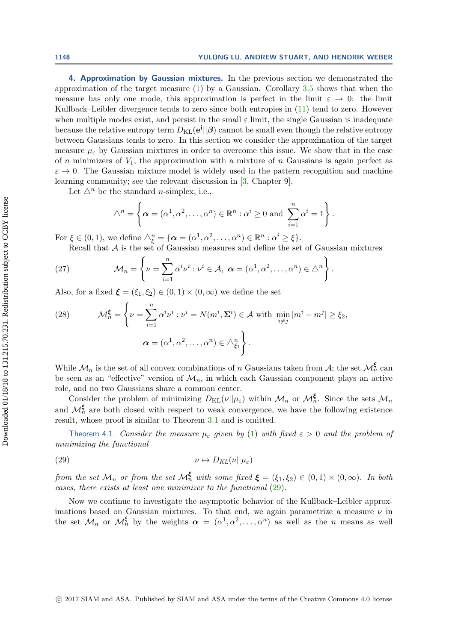<span id="page-12-0"></span>4. Approximation by Gaussian mixtures. In the previous section we demonstrated the approximation of the target measure  $(1)$  by a Gaussian. Corollary [3.5](#page-7-0) shows that when the measure has only one mode, this approximation is perfect in the limit  $\varepsilon \to 0$ : the limit Kullback–Leibler divergence tends to zero since both entropies in [\(11\)](#page-7-5) tend to zero. However when multiple modes exist, and persist in the small  $\varepsilon$  limit, the single Gaussian is inadequate because the relative entropy term  $D_{\mathrm{KL}}(\mathbf{e}^{\mathbf{i}}||\boldsymbol{\beta})$  cannot be small even though the relative entropy between Gaussians tends to zero. In this section we consider the approximation of the target measure  $\mu_{\varepsilon}$  by Gaussian mixtures in order to overcome this issue. We show that in the case of n minimizers of  $V_1$ , the approximation with a mixture of n Gaussians is again perfect as  $\varepsilon \to 0$ . The Gaussian mixture model is widely used in the pattern recognition and machine learning community; see the relevant discussion in [\[3,](#page-28-0) Chapter 9].

Let  $\Delta^n$  be the standard *n*-simplex, i.e.,

$$
\triangle^{n} = \left\{\boldsymbol{\alpha} = (\alpha^{1}, \alpha^{2}, \ldots, \alpha^{n}) \in \mathbb{R}^{n} : \alpha^{i} \geq 0 \text{ and } \sum_{i=1}^{n} \alpha^{i} = 1\right\}.
$$

For  $\xi \in (0,1)$ , we define  $\Delta_{\xi}^{n} = {\alpha = (\alpha^{1}, \alpha^{2}, \dots, \alpha^{n}) \in \mathbb{R}^{n} : \alpha^{i} \geq \xi}.$ 

Recall that  $A$  is the set of Gaussian measures and define the set of Gaussian mixtures

<span id="page-12-2"></span>(27) 
$$
\mathcal{M}_n = \left\{ \nu = \sum_{i=1}^n \alpha^i \nu^i : \nu^i \in \mathcal{A}, \ \boldsymbol{\alpha} = (\alpha^1, \alpha^2, \dots, \alpha^n) \in \Delta^n \right\}.
$$

Also, for a fixed  $\xi = (\xi_1, \xi_2) \in (0, 1) \times (0, \infty)$  we define the set

<span id="page-12-3"></span>(28) 
$$
\mathcal{M}_n^{\xi} = \left\{ \nu = \sum_{i=1}^n \alpha^i \nu^i : \nu^i = N(m^i, \Sigma^i) \in \mathcal{A} \text{ with } \min_{i \neq j} |m^i - m^j| \ge \xi_2,
$$

$$
\alpha = (\alpha^1, \alpha^2, \dots, \alpha^n) \in \Delta_{\xi_1}^n \right\}.
$$

While  $\mathcal{M}_n$  is the set of all convex combinations of n Gaussians taken from  $\mathcal{A}$ ; the set  $\mathcal{M}_n^{\xi}$  can be seen as an "effective" version of  $\mathcal{M}_n$ , in which each Gaussian component plays an active role, and no two Gaussians share a common center.

Consider the problem of minimizing  $D_{\text{KL}}(\nu||\mu_{\varepsilon})$  within  $\mathcal{M}_n$  or  $\mathcal{M}_n^{\xi}$ . Since the sets  $\mathcal{M}_n$ and  $\mathcal{M}_n^{\xi}$  are both closed with respect to weak convergence, we have the following existence result, whose proof is similar to Theorem [3.1](#page-5-3) and is omitted.

Theorem 4.1. Consider the measure  $\mu_{\varepsilon}$  given by [\(1\)](#page-1-0) with fixed  $\varepsilon > 0$  and the problem of minimizing the functional

<span id="page-12-1"></span>
$$
(29) \t\t\t\t\nu \mapsto D_{KL}(\nu||\mu_{\varepsilon})
$$

from the set  $\mathcal{M}_n$  or from the set  $\mathcal{M}_n^{\xi}$  with some fixed  $\xi = (\xi_1, \xi_2) \in (0, 1) \times (0, \infty)$ . In both cases, there exists at least one minimizer to the functional [\(29\)](#page-12-1).

Now we continue to investigate the asymptotic behavior of the Kullback–Leibler approximations based on Gaussian mixtures. To that end, we again parametrize a measure  $\nu$  in the set  $\mathcal{M}_n$  or  $\mathcal{M}_n^{\xi}$  by the weights  $\boldsymbol{\alpha} = (\alpha^1, \alpha^2, \dots, \alpha^n)$  as well as the *n* means as well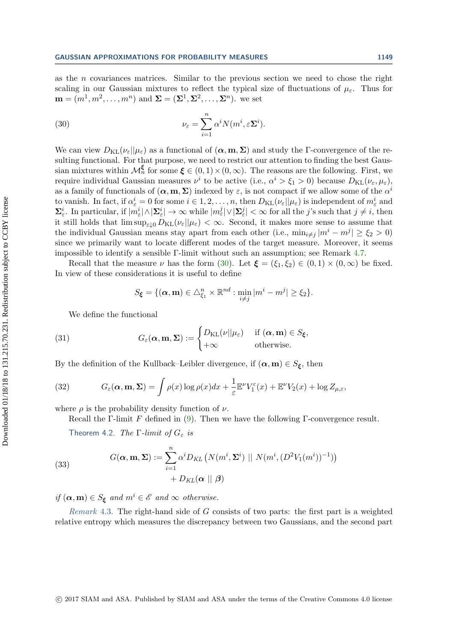as the n covariances matrices. Similar to the previous section we need to chose the right scaling in our Gaussian mixtures to reflect the typical size of fluctuations of  $\mu_{\epsilon}$ . Thus for  $\mathbf{m} = (m^1, m^2, \dots, m^n)$  and  $\mathbf{\Sigma} = (\mathbf{\Sigma}^1, \mathbf{\Sigma}^2, \dots, \mathbf{\Sigma}^n)$ . we set

<span id="page-13-1"></span>(30) 
$$
\nu_{\varepsilon} = \sum_{i=1}^{n} \alpha^{i} N(m^{i}, \varepsilon \Sigma^{i}).
$$

We can view  $D_{\text{KL}}(\nu_{\varepsilon}||\mu_{\varepsilon})$  as a functional of  $(\alpha, \mathbf{m}, \Sigma)$  and study the Γ-convergence of the resulting functional. For that purpose, we need to restrict our attention to finding the best Gaussian mixtures within  $\mathcal{M}_n^{\xi}$  for some  $\xi \in (0,1) \times (0,\infty)$ . The reasons are the following. First, we require individual Gaussian measures  $\nu^i$  to be active (i.e.,  $\alpha^i > \xi_1 > 0$ ) because  $D_{\text{KL}}(\nu_{\varepsilon}, \mu_{\varepsilon})$ , as a family of functionals of  $(\alpha, m, \Sigma)$  indexed by  $\varepsilon$ , is not compact if we allow some of the  $\alpha^i$ to vanish. In fact, if  $\alpha_{\varepsilon}^i = 0$  for some  $i \in 1, 2, \ldots, n$ , then  $D_{\text{KL}}(\nu_{\varepsilon}||\mu_{\varepsilon})$  is independent of  $m_{\varepsilon}^i$  and  $\Sigma_{\varepsilon}^i$ . In particular, if  $|m_{\varepsilon}^i| \wedge |\Sigma_{\varepsilon}^i| \to \infty$  while  $|m_{\varepsilon}^j| \vee |\Sigma_{\varepsilon}^j| < \infty$  for all the j's such that  $j \neq i$ , then it still holds that  $\limsup_{\varepsilon|0} D_{KL}(\nu_{\varepsilon}||\mu_{\varepsilon}) < \infty$ . Second, it makes more sense to assume that the individual Gaussian means stay apart from each other (i.e.,  $\min_{i \neq j} |m^i - m^j| \geq \xi_2 > 0$ ) since we primarily want to locate different modes of the target measure. Moreover, it seems impossible to identify a sensible  $\Gamma$ -limit without such an assumption; see Remark [4.7.](#page-17-0)

Recall that the measure  $\nu$  has the form [\(30\)](#page-13-1). Let  $\xi = (\xi_1, \xi_2) \in (0, 1) \times (0, \infty)$  be fixed. In view of these considerations it is useful to define

<span id="page-13-0"></span>
$$
S_{\xi} = \{(\boldsymbol{\alpha}, \mathbf{m}) \in \triangle_{\xi_1}^n \times \mathbb{R}^{nd} : \min_{i \neq j} |m^i - m^j| \geq \xi_2\}.
$$

We define the functional

<span id="page-13-3"></span>(31) 
$$
G_{\varepsilon}(\boldsymbol{\alpha},\mathbf{m},\boldsymbol{\Sigma}):=\begin{cases} D_{\mathrm{KL}}(\nu||\mu_{\varepsilon}) & \text{if }(\boldsymbol{\alpha},\mathbf{m})\in S_{\boldsymbol{\xi}},\\ +\infty & \text{otherwise.} \end{cases}
$$

By the definition of the Kullback–Leibler divergence, if  $(\alpha, m) \in S_{\xi}$ , then

<span id="page-13-4"></span>(32) 
$$
G_{\varepsilon}(\boldsymbol{\alpha},\mathbf{m},\boldsymbol{\Sigma})=\int \rho(x)\log\rho(x)dx+\frac{1}{\varepsilon}\mathbb{E}^{\nu}V_1^{\varepsilon}(x)+\mathbb{E}^{\nu}V_2(x)+\log Z_{\mu,\varepsilon},
$$

where  $\rho$  is the probability density function of  $\nu$ .

Recall the Γ-limit F defined in  $(9)$ . Then we have the following Γ-convergence result.

Theorem 4.2. The  $\Gamma$ -limit of  $G_{\varepsilon}$  is

<span id="page-13-2"></span>(33) 
$$
G(\boldsymbol{\alpha}, \mathbf{m}, \boldsymbol{\Sigma}) := \sum_{i=1}^{n} \alpha^{i} D_{KL} \left( N(m^{i}, \boldsymbol{\Sigma}^{i}) \mid N(m^{i}, (D^{2}V_{1}(m^{i}))^{-1}) \right) + D_{KL}(\boldsymbol{\alpha} \mid \mid \boldsymbol{\beta})
$$

if  $(\alpha, m) \in S_{\xi}$  and  $m^{i} \in \mathscr{E}$  and  $\infty$  otherwise.

Remark 4.3. The right-hand side of  $G$  consists of two parts: the first part is a weighted relative entropy which measures the discrepancy between two Gaussians, and the second part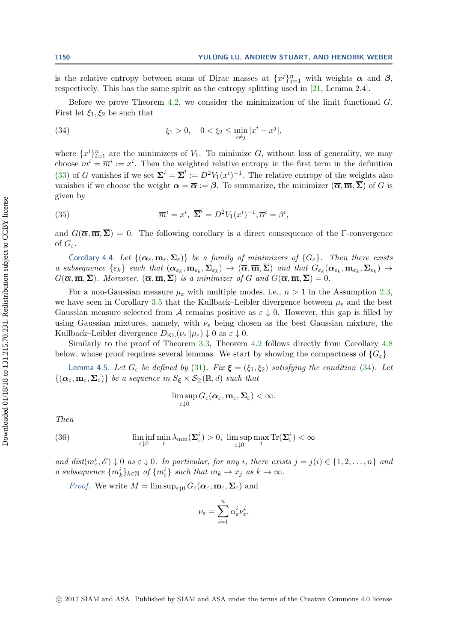is the relative entropy between sums of Dirac masses at  $\{x^j\}_{j=1}^n$  with weights  $\alpha$  and  $\beta$ , respectively. This has the same spirit as the entropy splitting used in [\[21,](#page-29-9) Lemma 2.4].

Before we prove Theorem [4.2,](#page-13-0) we consider the minimization of the limit functional G. First let  $\xi_1, \xi_2$  be such that

<span id="page-14-0"></span>(34) 
$$
\xi_1 > 0, \quad 0 < \xi_2 \le \min_{i \neq j} |x^i - x^j|,
$$

where  $\{x^i\}_{i=1}^n$  are the minimizers of  $V_1$ . To minimize G, without loss of generality, we may choose  $m^i = \overline{m}^i := x^i$ . Then the weighted relative entropy in the first term in the definition [\(33\)](#page-13-2) of G vanishes if we set  $\Sigma^i = \overline{\Sigma}^i := D^2 V_1(x^i)^{-1}$ . The relative entropy of the weights also vanishes if we choose the weight  $\alpha = \overline{\alpha} := \beta$ . To summarize, the minimizer  $(\overline{\alpha}, \overline{\mathbf{m}}, \overline{\mathbf{\Sigma}})$  of G is given by

(35) 
$$
\overline{m}^i = x^i, \ \overline{\Sigma}^i = D^2 V_1(x^i)^{-1}, \overline{\alpha}^i = \beta^i,
$$

<span id="page-14-3"></span>and  $G(\overline{\alpha}, \overline{\mathbf{m}}, \overline{\Sigma}) = 0$ . The following corollary is a direct consequence of the Γ-convergence of  $G_{\varepsilon}$ .

Corollary 4.4. Let  $\{(\alpha_{\varepsilon}, m_{\varepsilon}, \Sigma_{\varepsilon})\}$  be a family of minimizers of  $\{G_{\varepsilon}\}\$ . Then there exists a subsequence  $\{\varepsilon_k\}$  such that  $(\boldsymbol{\alpha}_{\varepsilon_k}, \mathbf{m}_{\varepsilon_k}, \boldsymbol{\Sigma}_{\varepsilon_k}) \to (\overline{\boldsymbol{\alpha}}, \overline{\mathbf{m}}, \boldsymbol{\Sigma})$  and that  $G_{\varepsilon_k}(\boldsymbol{\alpha}_{\varepsilon_k}, \mathbf{m}_{\varepsilon_k}, \boldsymbol{\Sigma}_{\varepsilon_k}) \to$  $G(\overline{\alpha}, \overline{\mathbf{m}}, \overline{\mathbf{\Sigma}})$ . Moreover,  $(\overline{\alpha}, \overline{\mathbf{m}}, \overline{\mathbf{\Sigma}})$  is a minimizer of G and  $G(\overline{\alpha}, \overline{\mathbf{m}}, \overline{\mathbf{\Sigma}}) = 0$ .

For a non-Gaussian measure  $\mu_{\varepsilon}$  with multiple modes, i.e.,  $n > 1$  in the Assumption [2.3,](#page-4-2) we have seen in Corollary [3.5](#page-7-0) that the Kullback–Leibler divergence between  $\mu_{\varepsilon}$  and the best Gaussian measure selected from A remains positive as  $\varepsilon \downarrow 0$ . However, this gap is filled by using Gaussian mixtures, namely, with  $\nu_{\varepsilon}$  being chosen as the best Gaussian mixture, the Kullback–Leibler divergence  $D_{\text{KL}}(\nu_{\varepsilon}||\mu_{\varepsilon}) \downarrow 0$  as  $\varepsilon \downarrow 0$ .

Similarly to the proof of Theorem [3.3,](#page-6-1) Theorem [4.2](#page-13-0) follows directly from Corollary [4.8](#page-17-1) below, whose proof requires several lemmas. We start by showing the compactness of  ${G_{\varepsilon}}$ .

Lemma 4.5. Let  $G_{\varepsilon}$  be defined by [\(31\)](#page-13-3). Fix  $\xi = (\xi_1, \xi_2)$  satisfying the condition [\(34\)](#page-14-0). Let  $\{(\boldsymbol{\alpha}_{\varepsilon},\mathbf{m}_{\varepsilon},\boldsymbol{\Sigma}_{\varepsilon})\}\;$  be a sequence in  $S_{\boldsymbol{\xi}}\times S_{>}(\mathbb{R},d)$  such that

<span id="page-14-2"></span>
$$
\limsup_{\varepsilon \downarrow 0} G_{\varepsilon}(\boldsymbol{\alpha}_{\varepsilon}, \mathbf{m}_{\varepsilon}, \boldsymbol{\Sigma}_{\varepsilon}) < \infty.
$$

Then

<span id="page-14-1"></span>(36) 
$$
\liminf_{\varepsilon \downarrow 0} \min_{i} \lambda_{\min}(\Sigma_{\varepsilon}^{i}) > 0, \limsup_{\varepsilon \downarrow 0} \max_{i} \text{Tr}(\Sigma_{\varepsilon}^{i}) < \infty
$$

and  $dist(m_{\varepsilon}^i, \mathscr{E}) \downarrow 0$  as  $\varepsilon \downarrow 0$ . In particular, for any i, there exists  $j = j(i) \in \{1, 2, ..., n\}$  and a subsequence  $\{m_k^i\}_{k\in\mathbb{N}}$  of  $\{m_{\varepsilon}^i\}$  such that  $m_k \to x_j$  as  $k \to \infty$ .

*Proof.* We write  $M = \limsup_{\varepsilon \downarrow 0} G_{\varepsilon}(\boldsymbol{\alpha}_{\varepsilon}, \mathbf{m}_{\varepsilon}, \boldsymbol{\Sigma}_{\varepsilon})$  and

$$
\nu_{\varepsilon} = \sum_{i=1}^{n} \alpha_{\varepsilon}^{i} \nu_{\varepsilon}^{i},
$$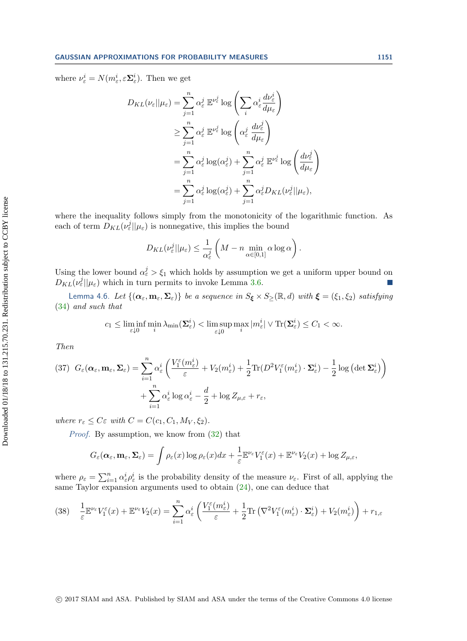where  $\nu_{\varepsilon}^i = N(m_{\varepsilon}^i, \varepsilon \Sigma_{\varepsilon}^i)$ . Then we get

$$
D_{KL}(\nu_{\varepsilon}||\mu_{\varepsilon}) = \sum_{j=1}^{n} \alpha_{\varepsilon}^{j} \mathbb{E}^{\nu_{\varepsilon}^{j}} \log \left( \sum_{i} \alpha_{\varepsilon}^{i} \frac{d\nu_{\varepsilon}^{i}}{d\mu_{\varepsilon}} \right)
$$
  
\n
$$
\geq \sum_{j=1}^{n} \alpha_{\varepsilon}^{j} \mathbb{E}^{\nu_{\varepsilon}^{j}} \log \left( \alpha_{\varepsilon}^{j} \frac{d\nu_{\varepsilon}^{j}}{d\mu_{\varepsilon}} \right)
$$
  
\n
$$
= \sum_{j=1}^{n} \alpha_{\varepsilon}^{j} \log(\alpha_{\varepsilon}^{j}) + \sum_{j=1}^{n} \alpha_{\varepsilon}^{j} \mathbb{E}^{\nu_{\varepsilon}^{j}} \log \left( \frac{d\nu_{\varepsilon}^{j}}{d\mu_{\varepsilon}} \right)
$$
  
\n
$$
= \sum_{j=1}^{n} \alpha_{\varepsilon}^{j} \log(\alpha_{\varepsilon}^{j}) + \sum_{j=1}^{n} \alpha_{\varepsilon}^{j} D_{KL}(\nu_{\varepsilon}^{j}||\mu_{\varepsilon}),
$$

where the inequality follows simply from the monotonicity of the logarithmic function. As each of term  $D_{KL}(\nu_{\varepsilon}^{j}||\mu_{\varepsilon})$  is nonnegative, this implies the bound

$$
D_{KL}(\nu_{\varepsilon}^j||\mu_{\varepsilon}) \leq \frac{1}{\alpha_{\varepsilon}^j} \left(M - n \min_{\alpha \in [0,1]} \alpha \log \alpha\right).
$$

Using the lower bound  $\alpha_{\varepsilon}^j > \xi_1$  which holds by assumption we get a uniform upper bound on  $D_{KL}(\nu_{\varepsilon}^{j}||\mu_{\varepsilon})$  which in turn permits to invoke Lemma [3.6.](#page-7-4)

<span id="page-15-2"></span>Lemma 4.6. Let  $\{(\alpha_{\varepsilon}, \mathbf{m}_{\varepsilon}, \Sigma_{\varepsilon})\}$  be a sequence in  $S_{\xi} \times S_{\geq}(\mathbb{R}, d)$  with  $\xi = (\xi_1, \xi_2)$  satisfying [\(34\)](#page-14-0) and such that

$$
c_1 \leq \liminf_{\varepsilon \downarrow 0} \min_i \lambda_{\min}(\Sigma^i_{\varepsilon}) < \limsup_{\varepsilon \downarrow 0} \max_i |m^i_{\varepsilon}| \vee \text{Tr}(\Sigma^i_{\varepsilon}) \leq C_1 < \infty.
$$

Then

<span id="page-15-0"></span>(37) 
$$
G_{\varepsilon}(\alpha_{\varepsilon}, \mathbf{m}_{\varepsilon}, \Sigma_{\varepsilon}) = \sum_{i=1}^{n} \alpha_{\varepsilon}^{i} \left( \frac{V_{1}^{\varepsilon}(m_{\varepsilon}^{i})}{\varepsilon} + V_{2}(m_{\varepsilon}^{i}) + \frac{1}{2} \text{Tr}(D^{2} V_{1}^{\varepsilon}(m_{\varepsilon}^{i}) \cdot \Sigma_{\varepsilon}^{i}) - \frac{1}{2} \log \left( \det \Sigma_{\varepsilon}^{i} \right) \right) + \sum_{i=1}^{n} \alpha_{\varepsilon}^{i} \log \alpha_{\varepsilon}^{i} - \frac{d}{2} + \log Z_{\mu, \varepsilon} + r_{\varepsilon},
$$

where  $r_{\varepsilon} \leq C \varepsilon$  with  $C = C(c_1, C_1, M_V, \xi_2)$ .

Proof. By assumption, we know from [\(32\)](#page-13-4) that

$$
G_{\varepsilon}(\boldsymbol{\alpha}_{\varepsilon},\mathbf{m}_{\varepsilon},\boldsymbol{\Sigma}_{\varepsilon})=\int \rho_{\varepsilon}(x)\log\rho_{\varepsilon}(x)dx+\frac{1}{\varepsilon}\mathbb{E}^{\nu_{\varepsilon}}V_{1}^{\varepsilon}(x)+\mathbb{E}^{\nu_{\varepsilon}}V_{2}(x)+\log Z_{\mu,\varepsilon},
$$

where  $\rho_{\varepsilon} = \sum_{i=1}^n \alpha_{\varepsilon}^i \rho_{\varepsilon}^i$  is the probability density of the measure  $\nu_{\varepsilon}$ . First of all, applying the same Taylor expansion arguments used to obtain [\(24\)](#page-10-0), one can deduce that

<span id="page-15-1"></span>
$$
(38)\quad \frac{1}{\varepsilon} \mathbb{E}^{\nu_{\varepsilon}} V_{1}^{\varepsilon}(x) + \mathbb{E}^{\nu_{\varepsilon}} V_{2}(x) = \sum_{i=1}^{n} \alpha_{\varepsilon}^{i} \left( \frac{V_{1}^{\varepsilon}(m_{\varepsilon}^{i})}{\varepsilon} + \frac{1}{2} \text{Tr} \left( \nabla^{2} V_{1}^{\varepsilon}(m_{\varepsilon}^{i}) \cdot \Sigma_{\varepsilon}^{i} \right) + V_{2}(m_{\varepsilon}^{i}) \right) + r_{1,\varepsilon}
$$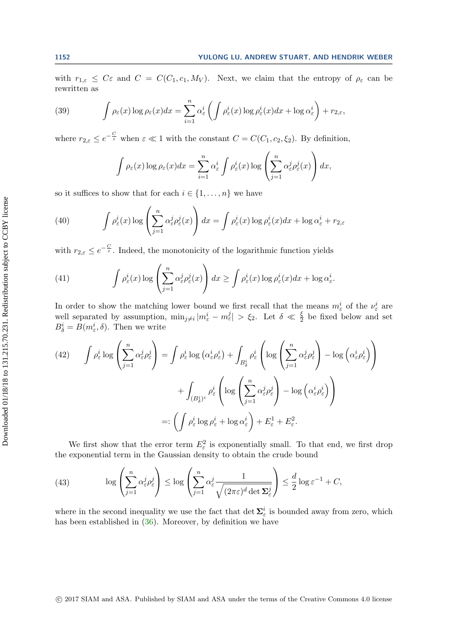with  $r_{1,\varepsilon} \leq C\varepsilon$  and  $C = C(C_1, c_1, M_V)$ . Next, we claim that the entropy of  $\rho_{\varepsilon}$  can be rewritten as

<span id="page-16-3"></span>(39) 
$$
\int \rho_{\varepsilon}(x) \log \rho_{\varepsilon}(x) dx = \sum_{i=1}^{n} \alpha_{\varepsilon}^{i} \left( \int \rho_{\varepsilon}^{i}(x) \log \rho_{\varepsilon}^{i}(x) dx + \log \alpha_{\varepsilon}^{i} \right) + r_{2,\varepsilon},
$$

where  $r_{2,\varepsilon} \leq e^{-\frac{C}{\varepsilon}}$  when  $\varepsilon \ll 1$  with the constant  $C = C(C_1, c_2, \xi_2)$ . By definition,

$$
\int \rho_{\varepsilon}(x) \log \rho_{\varepsilon}(x) dx = \sum_{i=1}^{n} \alpha_{\varepsilon}^{i} \int \rho_{\varepsilon}^{i}(x) \log \left( \sum_{j=1}^{n} \alpha_{\varepsilon}^{j} \rho_{\varepsilon}^{j}(x) \right) dx,
$$

so it suffices to show that for each  $i \in \{1, \ldots, n\}$  we have

<span id="page-16-1"></span>(40) 
$$
\int \rho_{\varepsilon}^{i}(x) \log \left( \sum_{j=1}^{n} \alpha_{\varepsilon}^{j} \rho_{\varepsilon}^{j}(x) \right) dx = \int \rho_{\varepsilon}^{i}(x) \log \rho_{\varepsilon}^{i}(x) dx + \log \alpha_{\varepsilon}^{i} + r_{2,\varepsilon}
$$

with  $r_{2,\varepsilon} \leq e^{-\frac{C}{\varepsilon}}$ . Indeed, the monotonicity of the logarithmic function yields

<span id="page-16-2"></span>(41) 
$$
\int \rho_{\varepsilon}^{i}(x) \log \left( \sum_{j=1}^{n} \alpha_{\varepsilon}^{j} \rho_{\varepsilon}^{j}(x) \right) dx \ge \int \rho_{\varepsilon}^{i}(x) \log \rho_{\varepsilon}^{i}(x) dx + \log \alpha_{\varepsilon}^{i}.
$$

In order to show the matching lower bound we first recall that the means  $m_{\varepsilon}^{i}$  of the  $\nu_{\varepsilon}^{i}$  are well separated by assumption,  $\min_{j\neq i}|m_{\varepsilon}^i - m_{\varepsilon}^j| > \xi_2$ . Let  $\delta \ll \frac{\xi}{2}$  be fixed below and set  $B_{\delta}^{i} = B(m_{\varepsilon}^{i}, \delta)$ . Then we write

(42) 
$$
\int \rho_{\varepsilon}^{i} \log \left( \sum_{j=1}^{n} \alpha_{\varepsilon}^{j} \rho_{\varepsilon}^{j} \right) = \int \rho_{\varepsilon}^{i} \log \left( \alpha_{\varepsilon}^{i} \rho_{\varepsilon}^{i} \right) + \int_{B_{\delta}^{i}} \rho_{\varepsilon}^{i} \left( \log \left( \sum_{j=1}^{n} \alpha_{\varepsilon}^{j} \rho_{\varepsilon}^{j} \right) - \log \left( \alpha_{\varepsilon}^{i} \rho_{\varepsilon}^{i} \right) \right) + \int_{\left( B_{\delta}^{i} \right)^{c}} \rho_{\varepsilon}^{i} \left( \log \left( \sum_{j=1}^{n} \alpha_{\varepsilon}^{j} \rho_{\varepsilon}^{j} \right) - \log \left( \alpha_{\varepsilon}^{i} \rho_{\varepsilon}^{i} \right) \right) =: \left( \int \rho_{\varepsilon}^{i} \log \rho_{\varepsilon}^{i} + \log \alpha_{\varepsilon}^{i} \right) + E_{\varepsilon}^{1} + E_{\varepsilon}^{2}.
$$

We first show that the error term  $E_{\varepsilon}^2$  is exponentially small. To that end, we first drop the exponential term in the Gaussian density to obtain the crude bound

<span id="page-16-0"></span>(43) 
$$
\log \left( \sum_{j=1}^n \alpha_{\varepsilon}^j \rho_{\varepsilon}^j \right) \le \log \left( \sum_{j=1}^n \alpha_{\varepsilon}^j \frac{1}{\sqrt{(2\pi\varepsilon)^d \det \Sigma_{\varepsilon}^j}} \right) \le \frac{d}{2} \log \varepsilon^{-1} + C,
$$

where in the second inequality we use the fact that  $\det \Sigma_{\varepsilon}^{i}$  is bounded away from zero, which has been established in [\(36\)](#page-14-1). Moreover, by definition we have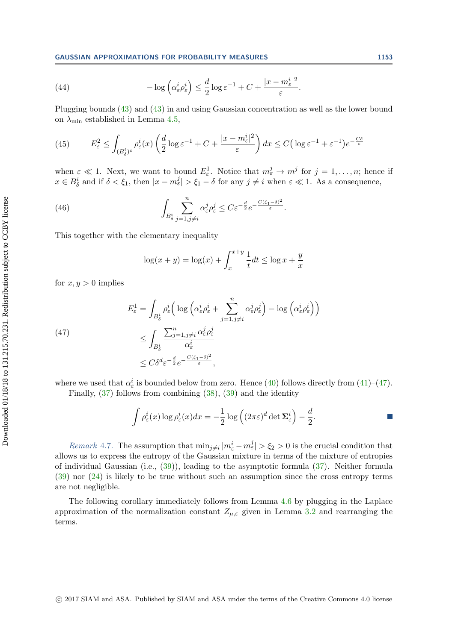(44) 
$$
-\log\left(\alpha_{\varepsilon}^i \rho_{\varepsilon}^i\right) \leq \frac{d}{2} \log \varepsilon^{-1} + C + \frac{|x - m_{\varepsilon}^i|^2}{\varepsilon}.
$$

Plugging bounds [\(43\)](#page-16-0) and [\(43\)](#page-16-0) in and using Gaussian concentration as well as the lower bound on  $\lambda_{\text{min}}$  established in Lemma [4.5,](#page-14-2)

(45) 
$$
E_{\varepsilon}^{2} \leq \int_{(B_{\delta}^{i})^{c}} \rho_{\varepsilon}^{i}(x) \left( \frac{d}{2} \log \varepsilon^{-1} + C + \frac{|x - m_{\varepsilon}^{i}|^{2}}{\varepsilon} \right) dx \leq C \left( \log \varepsilon^{-1} + \varepsilon^{-1} \right) e^{-\frac{C\delta}{\varepsilon}}
$$

when  $\varepsilon \ll 1$ . Next, we want to bound  $E_{\varepsilon}^1$ . Notice that  $m_{\varepsilon}^j \to m^j$  for  $j = 1, \ldots, n$ ; hence if  $x \in B_{\delta}^{i}$  and if  $\delta < \xi_1$ , then  $|x - m_{\varepsilon}^{j}| > \xi_1 - \delta$  for any  $j \neq i$  when  $\varepsilon \ll 1$ . As a consequence,

(46) 
$$
\int_{B_{\delta}^i} \sum_{j=1, j\neq i}^n \alpha_{\varepsilon}^j \rho_{\varepsilon}^j \leq C \varepsilon^{-\frac{d}{2}} e^{-\frac{C(\xi_1-\delta)^2}{\varepsilon}}.
$$

This together with the elementary inequality

$$
\log(x+y) = \log(x) + \int_{x}^{x+y} \frac{1}{t} dt \le \log x + \frac{y}{x}
$$

for  $x, y > 0$  implies

<span id="page-17-2"></span>(47)  
\n
$$
E_{\varepsilon}^{1} = \int_{B_{\delta}^{i}} \rho_{\varepsilon}^{i} \left( \log \left( \alpha_{\varepsilon}^{i} \rho_{\varepsilon}^{i} + \sum_{j=1, j \neq i}^{n} \alpha_{\varepsilon}^{j} \rho_{\varepsilon}^{j} \right) - \log \left( \alpha_{\varepsilon}^{i} \rho_{\varepsilon}^{i} \right) \right)
$$
\n
$$
\leq \int_{B_{\delta}^{i}} \frac{\sum_{j=1, j \neq i}^{n} \alpha_{\varepsilon}^{j} \rho_{\varepsilon}^{j}}{\alpha_{\varepsilon}^{i}}
$$
\n
$$
\leq C \delta^{d} \varepsilon^{-\frac{d}{2}} e^{-\frac{C(\xi_{1} - \delta)^{2}}{\varepsilon}},
$$

where we used that  $\alpha_{\varepsilon}^{i}$  is bounded below from zero. Hence [\(40\)](#page-16-1) follows directly from [\(41\)](#page-16-2)–[\(47\)](#page-17-2).

Finally, [\(37\)](#page-15-0) follows from combining [\(38\)](#page-15-1), [\(39\)](#page-16-3) and the identity

$$
\int \rho_{\varepsilon}^{i}(x) \log \rho_{\varepsilon}^{i}(x) dx = -\frac{1}{2} \log \left( (2\pi\varepsilon)^{d} \det \Sigma_{\varepsilon}^{i} \right) - \frac{d}{2}.
$$

<span id="page-17-0"></span>Remark 4.7. The assumption that  $\min_{j\neq i}|m_{\varepsilon}^i - m_{\varepsilon}^j| > \xi_2 > 0$  is the crucial condition that allows us to express the entropy of the Gaussian mixture in terms of the mixture of entropies of individual Gaussian (i.e., [\(39\)](#page-16-3)), leading to the asymptotic formula [\(37\)](#page-15-0). Neither formula [\(39\)](#page-16-3) nor [\(24\)](#page-10-0) is likely to be true without such an assumption since the cross entropy terms are not negligible.

<span id="page-17-1"></span>The following corollary immediately follows from Lemma [4.6](#page-15-2) by plugging in the Laplace approximation of the normalization constant  $Z_{\mu,\varepsilon}$  given in Lemma [3.2](#page-6-0) and rearranging the terms.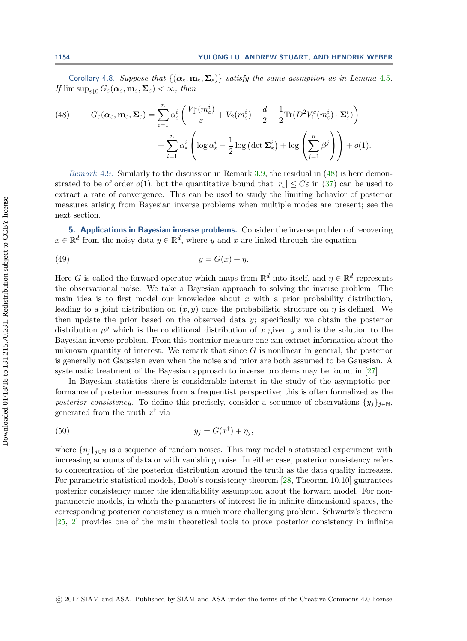Corollary 4.8. Suppose that  $\{(\alpha_{\varepsilon}, m_{\varepsilon}, \Sigma_{\varepsilon})\}$  satisfy the same assmption as in Lemma [4.5](#page-14-2). If  $\limsup_{\varepsilon\to 0} G_{\varepsilon}(\alpha_{\varepsilon}, \mathbf{m}_{\varepsilon}, \Sigma_{\varepsilon}) < \infty$ , then

<span id="page-18-1"></span>(48) 
$$
G_{\varepsilon}(\alpha_{\varepsilon}, \mathbf{m}_{\varepsilon}, \Sigma_{\varepsilon}) = \sum_{i=1}^{n} \alpha_{\varepsilon}^{i} \left( \frac{V_{1}^{\varepsilon}(m_{\varepsilon}^{i})}{\varepsilon} + V_{2}(m_{\varepsilon}^{i}) - \frac{d}{2} + \frac{1}{2} \text{Tr}(D^{2} V_{1}^{\varepsilon}(m_{\varepsilon}^{i}) \cdot \Sigma_{\varepsilon}^{i}) \right) + \sum_{i=1}^{n} \alpha_{\varepsilon}^{i} \left( \log \alpha_{\varepsilon}^{i} - \frac{1}{2} \log \left( \det \Sigma_{\varepsilon}^{i} \right) + \log \left( \sum_{j=1}^{n} \beta^{j} \right) \right) + o(1).
$$

Remark 4.9. Similarly to the discussion in Remark [3.9,](#page-11-1) the residual in [\(48\)](#page-18-1) is here demonstrated to be of order  $o(1)$ , but the quantitative bound that  $|r_{\varepsilon}| \leq C\varepsilon$  in [\(37\)](#page-15-0) can be used to extract a rate of convergence. This can be used to study the limiting behavior of posterior measures arising from Bayesian inverse problems when multiple modes are present; see the next section.

<span id="page-18-0"></span>5. Applications in Bayesian inverse problems. Consider the inverse problem of recovering  $x \in \mathbb{R}^d$  from the noisy data  $y \in \mathbb{R}^d$ , where y and x are linked through the equation

$$
(49) \t\t y = G(x) + \eta.
$$

Here G is called the forward operator which maps from  $\mathbb{R}^d$  into itself, and  $\eta \in \mathbb{R}^d$  represents the observational noise. We take a Bayesian approach to solving the inverse problem. The main idea is to first model our knowledge about  $x$  with a prior probability distribution, leading to a joint distribution on  $(x, y)$  once the probabilistic structure on  $\eta$  is defined. We then update the prior based on the observed data y; specifically we obtain the posterior distribution  $\mu^y$  which is the conditional distribution of x given y and is the solution to the Bayesian inverse problem. From this posterior measure one can extract information about the unknown quantity of interest. We remark that since  $G$  is nonlinear in general, the posterior is generally not Gaussian even when the noise and prior are both assumed to be Gaussian. A systematic treatment of the Bayesian approach to inverse problems may be found in [\[27\]](#page-29-10).

In Bayesian statistics there is considerable interest in the study of the asymptotic performance of posterior measures from a frequentist perspective; this is often formalized as the posterior consistency. To define this precisely, consider a sequence of observations  $\{y_i\}_{i\in\mathbb{N}}$ , generated from the truth  $x^{\dagger}$  via

<span id="page-18-2"></span>(50) 
$$
y_j = G(x^{\dagger}) + \eta_j,
$$

where  $\{\eta_i\}_{i\in\mathbb{N}}$  is a sequence of random noises. This may model a statistical experiment with increasing amounts of data or with vanishing noise. In either case, posterior consistency refers to concentration of the posterior distribution around the truth as the data quality increases. For parametric statistical models, Doob's consistency theorem [\[28,](#page-29-1) Theorem 10.10] guarantees posterior consistency under the identifiability assumption about the forward model. For nonparametric models, in which the parameters of interest lie in infinite dimensional spaces, the corresponding posterior consistency is a much more challenging problem. Schwartz's theorem [\[25,](#page-29-11) [2\]](#page-28-4) provides one of the main theoretical tools to prove posterior consistency in infinite

Downloaded 01/18/18 to 131.215.70.231. Redistribution subject to CCBY license Downloaded 01/18/18 to 131.215.70.231. Redistribution subject to CCBY license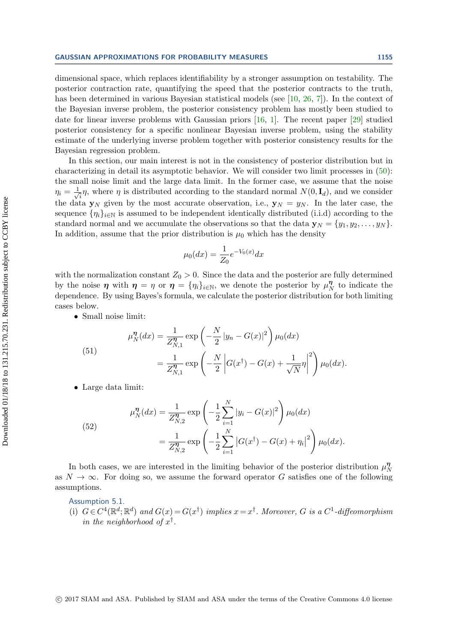dimensional space, which replaces identifiability by a stronger assumption on testability. The posterior contraction rate, quantifying the speed that the posterior contracts to the truth, has been determined in various Bayesian statistical models (see [\[10,](#page-29-12) [26,](#page-29-13) [7\]](#page-29-14)). In the context of the Bayesian inverse problem, the posterior consistency problem has mostly been studied to date for linear inverse problems with Gaussian priors [\[16,](#page-29-15) [1\]](#page-28-5). The recent paper [\[29\]](#page-29-16) studied posterior consistency for a specific nonlinear Bayesian inverse problem, using the stability estimate of the underlying inverse problem together with posterior consistency results for the Bayesian regression problem.

In this section, our main interest is not in the consistency of posterior distribution but in characterizing in detail its asymptotic behavior. We will consider two limit processes in [\(50\)](#page-18-2): the small noise limit and the large data limit. In the former case, we assume that the noise  $\eta_i = \frac{1}{\sqrt{2}}$  $\overline{\tau}_{\overline{i}}\eta$ , where  $\eta$  is distributed according to the standard normal  $N(0, \mathbf{I}_d)$ , and we consider the data  $\mathbf{y}_N$  given by the most accurate observation, i.e.,  $\mathbf{y}_N = y_N$ . In the later case, the sequence  $\{\eta_i\}_{i\in\mathbb{N}}$  is assumed to be independent identically distributed (i.i.d) according to the standard normal and we accumulate the observations so that the data  $\mathbf{y}_N = \{y_1, y_2, \ldots, y_N\}$ . In addition, assume that the prior distribution is  $\mu_0$  which has the density

$$
\mu_0(dx) = \frac{1}{Z_0} e^{-V_0(x)} dx
$$

with the normalization constant  $Z_0 > 0$ . Since the data and the posterior are fully determined by the noise  $\eta$  with  $\eta = \eta$  or  $\eta = {\eta_i}_{i \in \mathbb{N}}$ , we denote the posterior by  $\mu_N^{\eta}$  $\frac{\eta}{N}$  to indicate the dependence. By using Bayes's formula, we calculate the posterior distribution for both limiting cases below.

• Small noise limit:

<span id="page-19-2"></span>(51)  

$$
\mu_N^{\eta}(dx) = \frac{1}{Z_{N,1}^{\eta}} \exp\left(-\frac{N}{2}|y_n - G(x)|^2\right) \mu_0(dx)
$$

$$
= \frac{1}{Z_{N,1}^{\eta}} \exp\left(-\frac{N}{2}\left|G(x^{\dagger}) - G(x) + \frac{1}{\sqrt{N}}\eta\right|^2\right) \mu_0(dx).
$$

• Large data limit:

<span id="page-19-1"></span>(52)  

$$
\mu_N^{\eta}(dx) = \frac{1}{Z_{N,2}^{\eta}} \exp\left(-\frac{1}{2}\sum_{i=1}^N |y_i - G(x)|^2\right) \mu_0(dx)
$$

$$
= \frac{1}{Z_{N,2}^{\eta}} \exp\left(-\frac{1}{2}\sum_{i=1}^N |G(x^{\dagger}) - G(x) + \eta_i|^2\right) \mu_0(dx).
$$

In both cases, we are interested in the limiting behavior of the posterior distribution  $\mu_N^{\eta}$ N as  $N \to \infty$ . For doing so, we assume the forward operator G satisfies one of the following assumptions.

## <span id="page-19-0"></span>Assumption 5.1.

(i)  $G \in C^4(\mathbb{R}^d; \mathbb{R}^d)$  and  $G(x) = G(x^{\dagger})$  implies  $x = x^{\dagger}$ . Moreover, G is a  $C^1$ -diffeomorphism in the neighborhood of  $x^{\dagger}$ .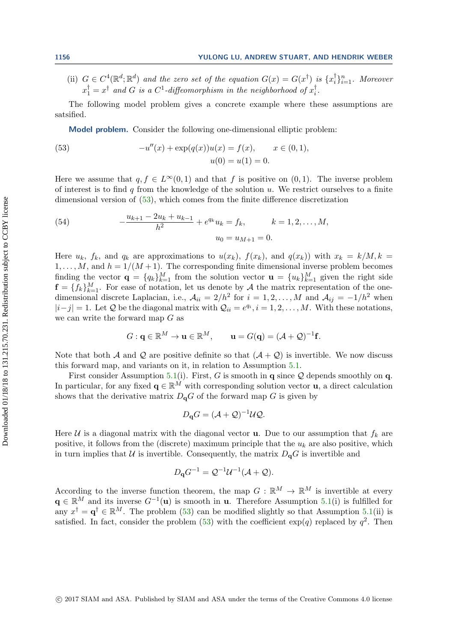(ii)  $G \in C^4(\mathbb{R}^d; \mathbb{R}^d)$  and the zero set of the equation  $G(x) = G(x^{\dagger})$  is  $\{x_i^{\dagger}\}$  $\big\{n_i\}_{i=1}^n$ . Moreover  $x_1^{\dagger} = x^{\dagger}$  and G is a C<sup>1</sup>-diffeomorphism in the neighborhood of  $x_i^{\dagger}$  $\frac{1}{i}$ .

The following model problem gives a concrete example where these assumptions are satsified.

Model problem. Consider the following one-dimensional elliptic problem:

<span id="page-20-0"></span>(53) 
$$
-u''(x) + \exp(q(x))u(x) = f(x), \qquad x \in (0,1),
$$

$$
u(0) = u(1) = 0.
$$

Here we assume that  $q, f \in L^{\infty}(0, 1)$  and that f is positive on  $(0, 1)$ . The inverse problem of interest is to find  $q$  from the knowledge of the solution  $u$ . We restrict ourselves to a finite dimensional version of [\(53\)](#page-20-0), which comes from the finite difference discretization

(54) 
$$
-\frac{u_{k+1} - 2u_k + u_{k-1}}{h^2} + e^{q_k}u_k = f_k, \qquad k = 1, 2, ..., M,
$$

$$
u_0 = u_{M+1} = 0.
$$

Here  $u_k$ ,  $f_k$ , and  $q_k$  are approximations to  $u(x_k)$ ,  $f(x_k)$ , and  $q(x_k)$ ) with  $x_k = k/M, k =$  $1, \ldots, M$ , and  $h = 1/(M + 1)$ . The corresponding finite dimensional inverse problem becomes finding the vector  $\mathbf{q} = \{q_k\}_{k=1}^M$  from the solution vector  $\mathbf{u} = \{u_k\}_{k=1}^M$  given the right side  $\mathbf{f} = \{f_k\}_{k=1}^M$ . For ease of notation, let us denote by A the matrix representation of the onedimensional discrete Laplacian, i.e.,  $A_{ii} = 2/h^2$  for  $i = 1, 2, ..., M$  and  $A_{ij} = -1/h^2$  when  $|i-j|=1$ . Let Q be the diagonal matrix with  $Q_{ii}=e^{q_i}, i=1,2,\ldots,M$ . With these notations, we can write the forward map G as

$$
G: \mathbf{q} \in \mathbb{R}^M \to \mathbf{u} \in \mathbb{R}^M, \qquad \mathbf{u} = G(\mathbf{q}) = (\mathcal{A} + \mathcal{Q})^{-1} \mathbf{f}.
$$

Note that both A and Q are positive definite so that  $(A + Q)$  is invertible. We now discuss this forward map, and variants on it, in relation to Assumption [5.1.](#page-19-0)

First consider Assumption [5.1\(](#page-19-0)i). First, G is smooth in q since  $\mathcal Q$  depends smoothly on q. In particular, for any fixed  $\mathbf{q} \in \mathbb{R}^M$  with corresponding solution vector **u**, a direct calculation shows that the derivative matrix  $D_{\mathbf{q}}G$  of the forward map G is given by

$$
D_{\mathbf{q}}G = (\mathcal{A} + \mathcal{Q})^{-1}\mathcal{U}\mathcal{Q}.
$$

Here  $\mathcal U$  is a diagonal matrix with the diagonal vector **u**. Due to our assumption that  $f_k$  are positive, it follows from the (discrete) maximum principle that the  $u_k$  are also positive, which in turn implies that  $U$  is invertible. Consequently, the matrix  $D_{\mathbf{q}}G$  is invertible and

$$
D_{\mathbf{q}}G^{-1} = \mathcal{Q}^{-1}\mathcal{U}^{-1}(\mathcal{A} + \mathcal{Q}).
$$

According to the inverse function theorem, the map  $G : \mathbb{R}^M \to \mathbb{R}^M$  is invertible at every  $\mathbf{q} \in \mathbb{R}^M$  and its inverse  $G^{-1}(\mathbf{u})$  is smooth in **u**. Therefore Assumption [5.1\(](#page-19-0)i) is fulfilled for any  $x^{\dagger} = \mathbf{q}^{\dagger} \in \mathbb{R}^{M}$ . The problem [\(53\)](#page-20-0) can be modified slightly so that Assumption [5.1\(](#page-19-0)ii) is satisfied. In fact, consider the problem [\(53\)](#page-20-0) with the coefficient  $\exp(q)$  replaced by  $q^2$ . Then

c 2017 SIAM and ASA. Published by SIAM and ASA under the terms of the Creative Commons 4.0 license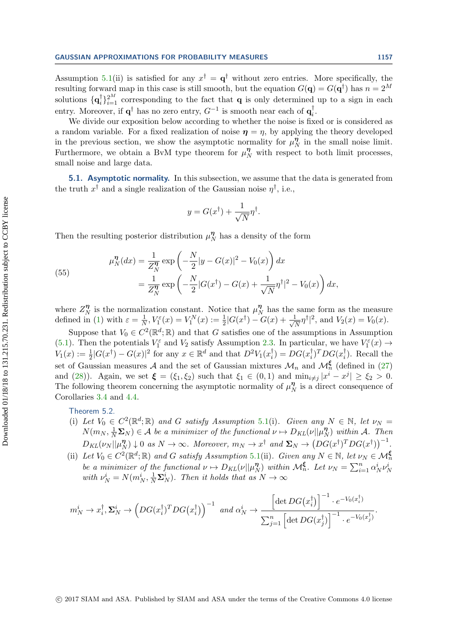Assumption [5.1\(](#page-19-0)ii) is satisfied for any  $x^{\dagger} = \mathbf{q}^{\dagger}$  without zero entries. More specifically, the resulting forward map in this case is still smooth, but the equation  $G(\mathbf{q}) = G(\mathbf{q}^{\dagger})$  has  $n = 2^M$ solutions  $\{q_i^{\dagger}$  ${}_{i}^{\dagger}\}^{2^M}_{i=1}$  corresponding to the fact that **q** is only determined up to a sign in each entry. Moreover, if  $\mathbf{q}^{\dagger}$  has no zero entry,  $G^{-1}$  is smooth near each of  $\mathbf{q}^{\dagger}_i$  $\frac{1}{i}$ .

We divide our exposition below according to whether the noise is fixed or is considered as a random variable. For a fixed realization of noise  $\eta = \eta$ , by applying the theory developed in the previous section, we show the asymptotic normality for  $\mu_{\Lambda}^{\eta}$  $\eta$  in the small noise limit. Furthermore, we obtain a BvM type theorem for  $\mu_N^{\eta}$  with respect to both limit processes, small noise and large data.

**5.1. Asymptotic normality.** In this subsection, we assume that the data is generated from the truth  $x^{\dagger}$  and a single realization of the Gaussian noise  $\eta^{\dagger}$ , i.e.,

$$
y = G(x^{\dagger}) + \frac{1}{\sqrt{N}} \eta^{\dagger}.
$$

Then the resulting posterior distribution  $\mu_N^{\eta}$  $\frac{\eta}{N}$  has a density of the form

(55)  

$$
\mu_N^{\eta}(dx) = \frac{1}{Z_N^{\eta}} \exp\left(-\frac{N}{2}|y - G(x)|^2 - V_0(x)\right) dx
$$

$$
= \frac{1}{Z_N^{\eta}} \exp\left(-\frac{N}{2}|G(x^{\dagger}) - G(x) + \frac{1}{\sqrt{N}}\eta^{\dagger}|^2 - V_0(x)\right) dx,
$$

where  $Z_{\Lambda}^{\eta}$  $\eta_N^{\eta}$  is the normalization constant. Notice that  $\mu_N^{\eta}$  $\eta$  has the same form as the measure defined in [\(1\)](#page-1-0) with  $\varepsilon = \frac{1}{N}$  $\frac{1}{N}, V_1^{\varepsilon}(x) = V_1^N(x) := \frac{1}{2} |G(x^{\dagger}) - G(x) + \frac{1}{\sqrt{2}}$  $\frac{1}{N}\eta^{\dagger}|^2$ , and  $V_2(x) = V_0(x)$ .

Suppose that  $V_0 \in C^2(\mathbb{R}^d; \mathbb{R})$  and that G satisfies one of the assumptions in Assumption [\(5.1\)](#page-19-0). Then the potentials  $V_1^{\varepsilon}$  and  $V_2$  satisfy Assumption [2.3.](#page-4-2) In particular, we have  $V_1^{\varepsilon}(x) \to$  $V_1(x) := \frac{1}{2}|G(x^{\dagger}) - G(x)|^2$  for any  $x \in \mathbb{R}^d$  and that  $D^2V_1(x_i^{\dagger})$  $i^{\dagger}) = DG(x_i^{\dagger})$  $_{i}^{\dagger})^{T}DG(x_{i}^{\dagger}% )^{T}=\sum_{i}^{\infty}x_{i}^{T}\left( x_{i}^{T}\right) ^{T}$  $\binom{7}{i}$ . Recall the set of Gaussian measures A and the set of Gaussian mixtures  $\mathcal{M}_n$  and  $\mathcal{M}_n^{\xi}$  (defined in [\(27\)](#page-12-2) and [\(28\)](#page-12-3)). Again, we set  $\xi = (\xi_1, \xi_2)$  such that  $\xi_1 \in (0, 1)$  and  $\min_{i \neq j} |x^i - x^j| \geq \xi_2 > 0$ . The following theorem concerning the asymptotic normality of  $\mu_N^{\eta}$  $\eta$  is a direct consequence of Corollaries [3.4](#page-6-3) and [4.4.](#page-14-3)

# <span id="page-21-0"></span>Theorem 5.2.

- (i) Let  $V_0 \in C^2(\mathbb{R}^d;\mathbb{R})$  and G satisfy Assumption [5.1\(](#page-19-0)i). Given any  $N \in \mathbb{N}$ , let  $\nu_N =$  $N(m_N, \frac{1}{N} \mathbf{\Sigma}_N) \in \mathcal{A}$  be a minimizer of the functional  $\nu \mapsto D_{KL}(\nu|| \mu_N^{\boldsymbol{\eta}})$  $_N^{\boldsymbol{\eta}}$ ) within A. Then  $D_{KL}(\nu_N||\mu_N^{\boldsymbol{\eta}})$  $\binom{n}{N} \downarrow 0$  as  $N \to \infty$ . Moreover,  $m_N \to x^{\dagger}$  and  $\Sigma_N \to (DG(x^{\dagger})^T DG(x^{\dagger}))^{-1}$ .
- (ii) Let  $V_0 \in C^2(\mathbb{R}^d;\mathbb{R})$  and G satisfy Assumption [5.1\(](#page-19-0)ii). Given any  $N \in \mathbb{N}$ , let  $\nu_N \in \mathcal{M}_n^{\xi}$ be a minimizer of the functional  $\nu \mapsto D_{KL}(\nu||\mu_N^{\eta})$  $\mathcal{M}_N^{\bullet}$ ) within  $\mathcal{M}_n^{\xi}$ . Let  $\nu_N = \sum_{i=1}^n \alpha_N^i \nu_N^i$ with  $\nu_N^i = N(m_N^i, \frac{1}{N} \Sigma_N^i)$ . Then it holds that as  $N \to \infty$

$$
m_N^i \to x_i^{\dagger}, \Sigma_N^i \to \left(DG(x_i^{\dagger})^T DG(x_i^{\dagger})\right)^{-1} \text{ and } \alpha_N^i \to \frac{\left[\det DG(x_i^{\dagger})\right]^{-1} \cdot e^{-V_0(x_i^{\dagger})}}{\sum_{j=1}^n \left[\det DG(x_j^{\dagger})\right]^{-1} \cdot e^{-V_0(x_j^{\dagger})}}.
$$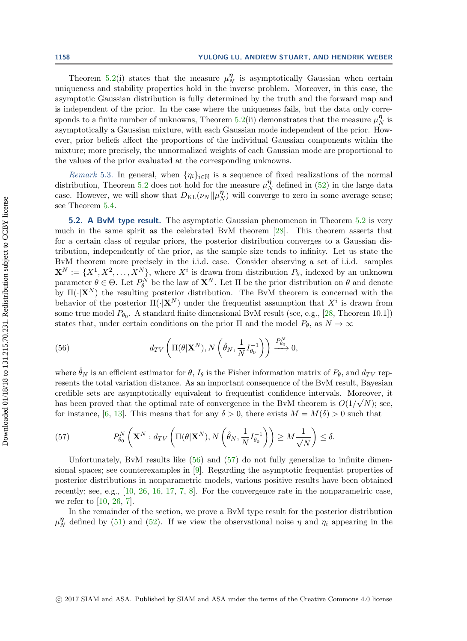Theorem [5.2\(](#page-21-0)i) states that the measure  $\mu_{\Lambda}^{\eta}$  $\frac{\eta}{N}$  is asymptotically Gaussian when certain uniqueness and stability properties hold in the inverse problem. Moreover, in this case, the asymptotic Gaussian distribution is fully determined by the truth and the forward map and is independent of the prior. In the case where the uniqueness fails, but the data only corre-sponds to a finite number of unknowns, Theorem [5.2\(](#page-21-0)ii) demonstrates that the measure  $\mu_N^{\eta}$  $\frac{\eta}{N}$  is asymptotically a Gaussian mixture, with each Gaussian mode independent of the prior. However, prior beliefs affect the proportions of the individual Gaussian components within the mixture; more precisely, the unnormalized weights of each Gaussian mode are proportional to the values of the prior evaluated at the corresponding unknowns.

*Remark* 5.3. In general, when  $\{\eta_i\}_{i\in\mathbb{N}}$  is a sequence of fixed realizations of the normal distribution, Theorem [5.2](#page-21-0) does not hold for the measure  $\mu_N^{\eta}$  $\frac{\eta}{N}$  defined in [\(52\)](#page-19-1) in the large data case. However, we will show that  $D_{\text{KL}}(\nu_N||\mu_N^{\eta})$  $\binom{n}{N}$  will converge to zero in some average sense; see Theorem [5.4.](#page-23-0)

**[5.2](#page-21-0). A BvM type result.** The asymptotic Gaussian phenomenon in Theorem 5.2 is very much in the same spirit as the celebrated BvM theorem [\[28\]](#page-29-1). This theorem asserts that for a certain class of regular priors, the posterior distribution converges to a Gaussian distribution, independently of the prior, as the sample size tends to infinity. Let us state the BvM theorem more precisely in the i.i.d. case. Consider observing a set of i.i.d. samples  $\mathbf{X}^{N} := \{X^{1}, X^{2}, \ldots, X^{N}\},$  where  $X^{i}$  is drawn from distribution  $P_{\theta}$ , indexed by an unknown parameter  $\theta \in \Theta$ . Let  $P_{\theta}^{N}$  be the law of  $\mathbf{X}^{N}$ . Let  $\Pi$  be the prior distribution on  $\theta$  and denote by  $\Pi(\cdot|\mathbf{X}^N)$  the resulting posterior distribution. The BvM theorem is concerned with the behavior of the posterior  $\Pi(\cdot|\mathbf{X}^N)$  under the frequentist assumption that  $X^i$  is drawn from some true model  $P_{\theta_0}$ . A standard finite dimensional BvM result (see, e.g., [\[28,](#page-29-1) Theorem 10.1]) states that, under certain conditions on the prior  $\Pi$  and the model  $P_{\theta}$ , as  $N \to \infty$ 

<span id="page-22-0"></span>(56) 
$$
d_{TV}\left(\Pi(\theta|\mathbf{X}^N), N\left(\hat{\theta}_N, \frac{1}{N}I_{\theta_0}^{-1}\right)\right) \xrightarrow{P_{\theta_0}^N} 0,
$$

where  $\hat{\theta}_N$  is an efficient estimator for  $\theta$ ,  $I_{\theta}$  is the Fisher information matrix of  $P_{\theta}$ , and  $d_{TV}$  represents the total variation distance. As an important consequence of the BvM result, Bayesian credible sets are asymptotically equivalent to frequentist confidence intervals. Moreover, it √ has been proved that the optimal rate of convergence in the BvM theorem is  $O(1/\sqrt{N})$ ; see, for instance, [\[6,](#page-28-6) [13\]](#page-29-17). This means that for any  $\delta > 0$ , there exists  $M = M(\delta) > 0$  such that

<span id="page-22-1"></span>(57) 
$$
P_{\theta_0}^N\left(\mathbf{X}^N: d_{TV}\left(\Pi(\theta|\mathbf{X}^N), N\left(\hat{\theta}_N, \frac{1}{N}I_{\theta_0}^{-1}\right)\right) \geq M\frac{1}{\sqrt{N}}\right) \leq \delta.
$$

Unfortunately, BvM results like [\(56\)](#page-22-0) and [\(57\)](#page-22-1) do not fully generalize to infinite dimensional spaces; see counterexamples in [\[9\]](#page-29-18). Regarding the asymptotic frequentist properties of posterior distributions in nonparametric models, various positive results have been obtained recently; see, e.g., [\[10,](#page-29-12) [26,](#page-29-13) [16,](#page-29-15) [17,](#page-29-19) [7,](#page-29-14) [8\]](#page-29-20). For the convergence rate in the nonparametric case, we refer to [\[10,](#page-29-12) [26,](#page-29-13) [7\]](#page-29-14).

In the remainder of the section, we prove a BvM type result for the posterior distribution  $\mu_{\Lambda}^{\eta}$  $\eta$  defined by [\(51\)](#page-19-2) and [\(52\)](#page-19-1). If we view the observational noise  $\eta$  and  $\eta_i$  appearing in the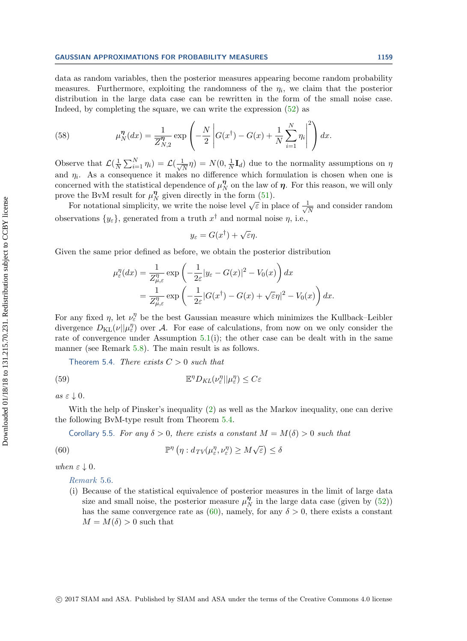data as random variables, then the posterior measures appearing become random probability measures. Furthermore, exploiting the randomness of the  $\eta_i$ , we claim that the posterior distribution in the large data case can be rewritten in the form of the small noise case. Indeed, by completing the square, we can write the expression [\(52\)](#page-19-1) as

(58) 
$$
\mu_N^{\eta}(dx) = \frac{1}{\overline{Z}_{N,2}^{\eta}} \exp\left(-\frac{N}{2} \left| G(x^{\dagger}) - G(x) + \frac{1}{N} \sum_{i=1}^{N} \eta_i \right|^2 \right) dx.
$$

Observe that  $\mathcal{L}(\frac{1}{N})$  $\frac{1}{N}\sum_{i=1}^N \eta_i) = \mathcal{L}(\frac{1}{\sqrt{N}}$  $\frac{1}{N}\eta$ ) =  $N(0, \frac{1}{N})$  $\frac{1}{N}I_d$  due to the normality assumptions on  $\eta$ and  $\eta_i$ . As a consequence it makes no difference which formulation is chosen when one is concerned with the statistical dependence of  $\mu_{\Lambda}^{\eta}$  $\eta_N^{\eta}$  on the law of  $\eta$ . For this reason, we will only prove the BvM result for  $\mu_N^{\eta}$  $\eta$  given directly in the form [\(51\)](#page-19-2).

For notational simplicity, we write the noise level  $\sqrt{\varepsilon}$  in place of  $\frac{1}{\sqrt{\varepsilon}}$  $\frac{1}{\overline{N}}$  and consider random observations  $\{y_{\varepsilon}\}\)$ , generated from a truth  $x^{\dagger}$  and normal noise  $\eta$ , i.e.,

$$
y_{\varepsilon} = G(x^{\dagger}) + \sqrt{\varepsilon}\eta.
$$

Given the same prior defined as before, we obtain the posterior distribution

$$
\mu_{\varepsilon}^{\eta}(dx) = \frac{1}{Z_{\mu,\varepsilon}^{\eta}} \exp\left(-\frac{1}{2\varepsilon}|y_{\varepsilon} - G(x)|^2 - V_0(x)\right) dx
$$
  
= 
$$
\frac{1}{Z_{\mu,\varepsilon}^{\eta}} \exp\left(-\frac{1}{2\varepsilon}|G(x^{\dagger}) - G(x) + \sqrt{\varepsilon}\eta|^2 - V_0(x)\right) dx.
$$

For any fixed  $\eta$ , let  $\nu_{\varepsilon}^{\eta}$  be the best Gaussian measure which minimizes the Kullback–Leibler divergence  $D_{\text{KL}}(\nu||\mu_{\varepsilon}^{\eta})$  over A. For ease of calculations, from now on we only consider the rate of convergence under Assumption  $5.1(i)$  $5.1(i)$ ; the other case can be dealt with in the same manner (see Remark [5.8\)](#page-27-0). The main result is as follows.

<span id="page-23-0"></span>Theorem 5.4. There exists  $C > 0$  such that

<span id="page-23-3"></span>(59) 
$$
\mathbb{E}^{\eta} D_{KL}(\nu_{\varepsilon}^{\eta}||\mu_{\varepsilon}^{\eta}) \leq C \varepsilon
$$

 $as \varepsilon \downarrow 0.$ 

With the help of Pinsker's inequality [\(2\)](#page-3-4) as well as the Markov inequality, one can derive the following BvM-type result from Theorem [5.4.](#page-23-0)

<span id="page-23-1"></span>Corollary 5.5. For any  $\delta > 0$ , there exists a constant  $M = M(\delta) > 0$  such that

<span id="page-23-2"></span>(60) 
$$
\mathbb{P}^{\eta}(\eta: d_{TV}(\mu_{\varepsilon}^{\eta}, \nu_{\varepsilon}^{\eta}) \geq M \sqrt{\varepsilon}) \leq \delta
$$

when  $\varepsilon \downarrow 0$ .

Remark 5.6.

(i) Because of the statistical equivalence of posterior measures in the limit of large data size and small noise, the posterior measure  $\mu_{\Lambda}^{\eta}$  $\frac{\eta}{N}$  in the large data case (given by  $(52)$ ) has the same convergence rate as [\(60\)](#page-23-2), namely, for any  $\delta > 0$ , there exists a constant  $M = M(\delta) > 0$  such that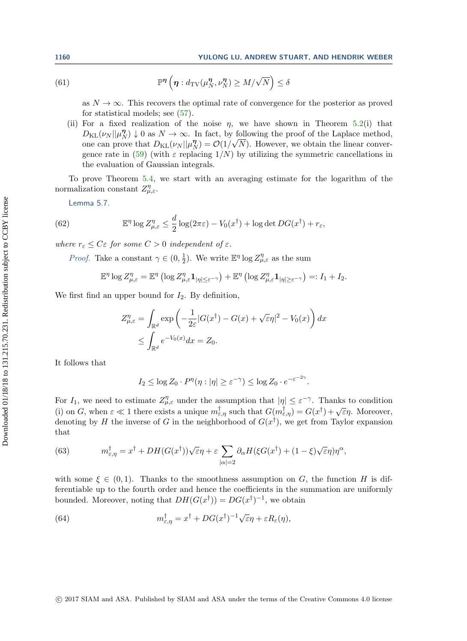(61) 
$$
\mathbb{P}^{\eta}\left(\eta: d_{\mathrm{TV}}(\mu_N^{\eta}, \nu_N^{\eta}) \geq M/\sqrt{N}\right) \leq \delta
$$

as  $N \to \infty$ . This recovers the optimal rate of convergence for the posterior as proved for statistical models; see [\(57\)](#page-22-1).

(ii) For a fixed realization of the noise  $\eta$ , we have shown in Theorem [5.2\(](#page-21-0)i) that  $D_{\text{KL}}(\nu_N||\mu_N^{\boldsymbol{\eta}})$  $\binom{n}{N}$   $\downarrow$  0 as  $N \to \infty$ . In fact, by following the proof of the Laplace method, one can prove that  $D_{\text{KL}}(\nu_N || \mu_N^{\eta})$  $\mathcal{O}(1/\sqrt{N})$ . However, we obtain the linear conver-gence rate in [\(59\)](#page-23-3) (with  $\varepsilon$  replacing  $1/N$ ) by utilizing the symmetric cancellations in the evaluation of Gaussian integrals.

To prove Theorem [5.4,](#page-23-0) we start with an averaging estimate for the logarithm of the normalization constant  $Z_{\mu,\varepsilon}^{\eta}$ .

<span id="page-24-2"></span>Lemma 5.7.

(62) 
$$
\mathbb{E}^{\eta} \log Z_{\mu,\varepsilon}^{\eta} \leq \frac{d}{2} \log(2\pi\varepsilon) - V_0(x^{\dagger}) + \log \det DG(x^{\dagger}) + r_{\varepsilon},
$$

where  $r_{\varepsilon} \leq C \varepsilon$  for some  $C > 0$  independent of  $\varepsilon$ .

*Proof.* Take a constant  $\gamma \in (0, \frac{1}{2})$  $\frac{1}{2}$ ). We write  $\mathbb{E}^{\eta} \log Z_{\mu,\varepsilon}^{\eta}$  as the sum

$$
\mathbb{E}^{\eta} \log Z_{\mu,\varepsilon}^{\eta} = \mathbb{E}^{\eta} \left( \log Z_{\mu,\varepsilon}^{\eta} \mathbf{1}_{|\eta| \leq \varepsilon^{-\gamma}} \right) + \mathbb{E}^{\eta} \left( \log Z_{\mu,\varepsilon}^{\eta} \mathbf{1}_{|\eta| \geq \varepsilon^{-\gamma}} \right) =: I_1 + I_2.
$$

We first find an upper bound for  $I_2$ . By definition,

$$
Z_{\mu,\varepsilon}^{\eta} = \int_{\mathbb{R}^d} \exp\left(-\frac{1}{2\varepsilon}|G(x^{\dagger}) - G(x) + \sqrt{\varepsilon}\eta|^2 - V_0(x)\right) dx
$$
  

$$
\leq \int_{\mathbb{R}^d} e^{-V_0(x)} dx = Z_0.
$$

It follows that

$$
I_2 \leq \log Z_0 \cdot P^{\eta}(\eta : |\eta| \geq \varepsilon^{-\gamma}) \leq \log Z_0 \cdot e^{-\varepsilon^{-2\gamma}}.
$$

For  $I_1$ , we need to estimate  $Z_{\mu,\varepsilon}^{\eta}$  under the assumption that  $|\eta| \leq \varepsilon^{-\gamma}$ . Thanks to condition (i) on G, when  $\varepsilon \ll 1$  there exists a unique  $m_{\varepsilon,\eta}^{\dagger}$  such that  $G(m_{\varepsilon,\eta}^{\dagger}) = G(x^{\dagger}) + \sqrt{\varepsilon}\eta$ . Moreover, denoting by H the inverse of G in the neighborhood of  $G(x^{\dagger})$ , we get from Taylor expansion that

<span id="page-24-1"></span>(63) 
$$
m_{\varepsilon,\eta}^{\dagger} = x^{\dagger} + DH(G(x^{\dagger}))\sqrt{\varepsilon}\eta + \varepsilon \sum_{|\alpha|=2} \partial_{\alpha} H(\xi G(x^{\dagger}) + (1-\xi)\sqrt{\varepsilon}\eta)\eta^{\alpha},
$$

with some  $\xi \in (0,1)$ . Thanks to the smoothness assumption on G, the function H is differentiable up to the fourth order and hence the coefficients in the summation are uniformly bounded. Moreover, noting that  $DH(G(x^{\dagger})) = DG(x^{\dagger})^{-1}$ , we obtain

<span id="page-24-0"></span>(64) 
$$
m_{\varepsilon,\eta}^{\dagger} = x^{\dagger} + DG(x^{\dagger})^{-1} \sqrt{\varepsilon} \eta + \varepsilon R_{\varepsilon}(\eta),
$$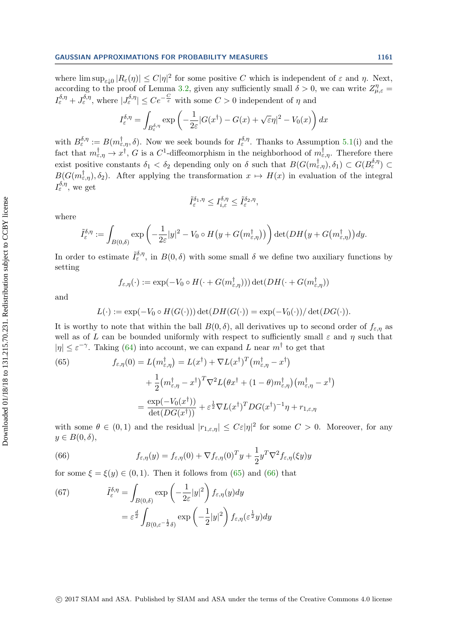where  $\limsup_{\varepsilon\downarrow0}|R_{\varepsilon}(\eta)|\leq C|\eta|^2$  for some positive C which is independent of  $\varepsilon$  and  $\eta$ . Next, according to the proof of Lemma [3.2,](#page-6-0) given any sufficiently small  $\delta > 0$ , we can write  $Z_{\mu,\varepsilon}^{\eta} =$  $I_{\varepsilon}^{\delta,\eta}+J_{\varepsilon}^{\delta,\eta},$  where  $|J_{\varepsilon}^{\delta,\eta}|\leq Ce^{-\frac{C}{\varepsilon}}$  with some  $C>0$  independent of  $\eta$  and

$$
I_{\varepsilon}^{\delta,\eta} = \int_{B_{\varepsilon}^{\delta,\eta}} \exp\left(-\frac{1}{2\varepsilon}|G(x^{\dagger}) - G(x) + \sqrt{\varepsilon}\eta|^{2} - V_{0}(x)\right) dx
$$

with  $B_{\varepsilon}^{\delta,\eta} := B(m_{\varepsilon,\eta}^{\dagger},\delta)$ . Now we seek bounds for  $I_{\varepsilon}^{\delta,\eta}$ . Thanks to Assumption [5.1\(](#page-19-0)i) and the fact that  $m_{\varepsilon,\eta}^{\dagger} \to x^{\dagger}$ , G is a C<sup>1</sup>-diffeomorphism in the neighborhood of  $m_{\varepsilon,\eta}^{\dagger}$ . Therefore there exist positive constants  $\delta_1 < \delta_2$  depending only on  $\delta$  such that  $B(G(m_{\varepsilon,\eta}^{\dagger}), \delta_1) \subset G(B_{\varepsilon}^{\delta,\eta}) \subset$  $B(G(m_{\varepsilon,\eta}^{\dagger}), \delta_2)$ . After applying the transformation  $x \mapsto H(x)$  in evaluation of the integral  $I_{\varepsilon}^{\delta,\eta}$ , we get

$$
\tilde{I}_{\varepsilon}^{\delta_1,\eta} \leq I_{i,\varepsilon}^{\delta,\eta} \leq \tilde{I}_{\varepsilon}^{\delta_2,\eta},
$$

where

$$
\tilde{I}^{\delta,\eta}_{\varepsilon}:=\int_{B(0,\delta)}\exp\left(-\frac{1}{2\varepsilon}|y|^{2}-V_{0}\circ H\big(y+G\big(m^{\dagger}_{\varepsilon,\eta}\big)\big)\right)\det(DH\big(y+G\big(m^{\dagger}_{\varepsilon,\eta}\big)\big)dy.
$$

In order to estimate  $\tilde{I}_{\varepsilon}^{\delta,\eta}$ , in  $B(0,\delta)$  with some small  $\delta$  we define two auxiliary functions by setting

$$
f_{\varepsilon,\eta}(\cdot) := \exp(-V_0 \circ H(\cdot + G(m^\dagger_{\varepsilon,\eta}))) \det(DH(\cdot + G(m^\dagger_{\varepsilon,\eta}))
$$

and

$$
L(\cdot) := \exp(-V_0 \circ H(G(\cdot))) \det(DH(G(\cdot)) = \exp(-V_0(\cdot))/\det(DG(\cdot)).
$$

It is worthy to note that within the ball  $B(0, \delta)$ , all derivatives up to second order of  $f_{\varepsilon, \eta}$  as well as of L can be bounded uniformly with respect to sufficiently small  $\varepsilon$  and  $\eta$  such that  $|\eta| \leq \varepsilon^{-\gamma}$ . Taking [\(64\)](#page-24-0) into account, we can expand L near  $m^{\dagger}$  to get that

<span id="page-25-0"></span>(65) 
$$
f_{\varepsilon,\eta}(0) = L(m_{\varepsilon,\eta}^{\dagger}) = L(x^{\dagger}) + \nabla L(x^{\dagger})^T (m_{\varepsilon,\eta}^{\dagger} - x^{\dagger}) + \frac{1}{2} (m_{\varepsilon,\eta}^{\dagger} - x^{\dagger})^T \nabla^2 L (\theta x^{\dagger} + (1 - \theta) m_{\varepsilon,\eta}^{\dagger}) (m_{\varepsilon,\eta}^{\dagger} - x^{\dagger}) = \frac{\exp(-V_0(x^{\dagger}))}{\det(DG(x^{\dagger}))} + \varepsilon^{\frac{1}{2}} \nabla L(x^{\dagger})^T DG(x^{\dagger})^{-1} \eta + r_{1,\varepsilon,\eta}
$$

with some  $\theta \in (0,1)$  and the residual  $|r_{1,\varepsilon,\eta}| \leq C\varepsilon |\eta|^2$  for some  $C > 0$ . Moreover, for any  $y \in B(0,\delta),$ 

<span id="page-25-1"></span>(66) 
$$
f_{\varepsilon,\eta}(y) = f_{\varepsilon,\eta}(0) + \nabla f_{\varepsilon,\eta}(0)^T y + \frac{1}{2} y^T \nabla^2 f_{\varepsilon,\eta}(\xi y) y
$$

for some  $\xi = \xi(y) \in (0,1)$ . Then it follows from [\(65\)](#page-25-0) and [\(66\)](#page-25-1) that

(67) 
$$
\tilde{I}_{\varepsilon}^{\delta,\eta} = \int_{B(0,\delta)} \exp\left(-\frac{1}{2\varepsilon}|y|^2\right) f_{\varepsilon,\eta}(y) dy
$$

$$
= \varepsilon^{\frac{d}{2}} \int_{B(0,\varepsilon^{-\frac{1}{2}}\delta)} \exp\left(-\frac{1}{2}|y|^2\right) f_{\varepsilon,\eta}(\varepsilon^{\frac{1}{2}}y) dy
$$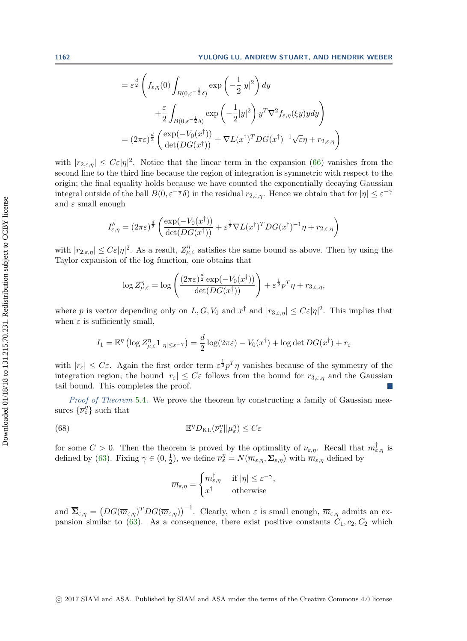$$
= \varepsilon^{\frac{d}{2}} \left( f_{\varepsilon,\eta}(0) \int_{B(0,\varepsilon^{-\frac{1}{2}}\delta)} \exp\left( -\frac{1}{2}|y|^2 \right) dy + \frac{\varepsilon}{2} \int_{B(0,\varepsilon^{-\frac{1}{2}}\delta)} \exp\left( -\frac{1}{2}|y|^2 \right) y^T \nabla^2 f_{\varepsilon,\eta}(\xi y) y dy \right) = (2\pi\varepsilon)^{\frac{d}{2}} \left( \frac{\exp(-V_0(x^{\dagger}))}{\det(DG(x^{\dagger}))} + \nabla L(x^{\dagger})^T DG(x^{\dagger})^{-1} \sqrt{\varepsilon} \eta + r_{2,\varepsilon,\eta} \right)
$$

with  $|r_{2,\varepsilon,\eta}| \leq C\varepsilon |\eta|^2$ . Notice that the linear term in the expansion [\(66\)](#page-25-1) vanishes from the second line to the third line because the region of integration is symmetric with respect to the origin; the final equality holds because we have counted the exponentially decaying Gaussian integral outside of the ball  $B(0, \varepsilon^{-\frac{1}{2}}\delta)$  in the residual  $r_{2,\varepsilon,\eta}$ . Hence we obtain that for  $|\eta| \leq \varepsilon^{-\gamma}$ and  $\varepsilon$  small enough

$$
I_{\varepsilon,\eta}^{\delta} = (2\pi\varepsilon)^{\frac{d}{2}} \left( \frac{\exp(-V_0(x^{\dagger}))}{\det(DG(x^{\dagger}))} + \varepsilon^{\frac{1}{2}} \nabla L(x^{\dagger})^T DG(x^{\dagger})^{-1} \eta + r_{2,\varepsilon,\eta} \right)
$$

with  $|r_{2,\varepsilon,\eta}| \leq C\varepsilon |\eta|^2$ . As a result,  $Z_{\mu,\varepsilon}^{\eta}$  satisfies the same bound as above. Then by using the Taylor expansion of the log function, one obtains that

$$
\log Z_{\mu,\varepsilon}^{\eta} = \log \left( \frac{(2\pi\varepsilon)^{\frac{d}{2}} \exp(-V_0(x^{\dagger}))}{\det(DG(x^{\dagger}))} \right) + \varepsilon^{\frac{1}{2}} p^T \eta + r_{3,\varepsilon,\eta},
$$

where p is vector depending only on L, G, V<sub>0</sub> and  $x^{\dagger}$  and  $|r_{3,\varepsilon,\eta}| \leq C \varepsilon |\eta|^2$ . This implies that when  $\varepsilon$  is sufficiently small,

$$
I_1 = \mathbb{E}^{\eta} \left( \log Z_{\mu,\varepsilon}^{\eta} \mathbf{1}_{|\eta| \leq \varepsilon^{-\gamma}} \right) = \frac{d}{2} \log(2\pi\varepsilon) - V_0(x^{\dagger}) + \log \det DG(x^{\dagger}) + r_{\varepsilon}
$$

with  $|r_{\varepsilon}| \leq C_{\varepsilon}$ . Again the first order term  $\varepsilon^{\frac{1}{2}} p^T \eta$  vanishes because of the symmetry of the integration region; the bound  $|r_{\varepsilon}| \leq C_{\varepsilon}$  follows from the bound for  $r_{3,\varepsilon,\eta}$  and the Gaussian tail bound. This completes the proof.

Proof of Theorem [5.4](#page-23-0). We prove the theorem by constructing a family of Gaussian measures  $\{\overline{\nu}_{\varepsilon}^{\eta}\}\$  such that

<span id="page-26-0"></span>(68) 
$$
\mathbb{E}^{\eta} D_{\mathrm{KL}}(\overline{\nu}_{\varepsilon}^{\eta}||\mu_{\varepsilon}^{\eta}) \leq C \varepsilon
$$

for some  $C > 0$ . Then the theorem is proved by the optimality of  $\nu_{\varepsilon,\eta}$ . Recall that  $m_{\varepsilon,\eta}^{\dagger}$  is defined by [\(63\)](#page-24-1). Fixing  $\gamma \in (0, \frac{1}{2})$  $(\frac{1}{2})$ , we define  $\overline{\nu}_{\varepsilon}^{\eta} = N(\overline{m}_{\varepsilon,\eta}, \overline{\Sigma}_{\varepsilon,\eta})$  with  $\overline{m}_{\varepsilon,\eta}$  defined by

$$
\overline{m}_{\varepsilon,\eta} = \begin{cases} m_{\varepsilon,\eta}^{\dagger} & \text{if } |\eta| \leq \varepsilon^{-\gamma}, \\ x^{\dagger} & \text{otherwise} \end{cases}
$$

and  $\overline{\Sigma}_{\varepsilon,\eta} = (DG(\overline{m}_{\varepsilon,\eta})^T DG(\overline{m}_{\varepsilon,\eta}))^{-1}$ . Clearly, when  $\varepsilon$  is small enough,  $\overline{m}_{\varepsilon,\eta}$  admits an ex-pansion similar to [\(63\)](#page-24-1). As a consequence, there exist positive constants  $C_1, c_2, C_2$  which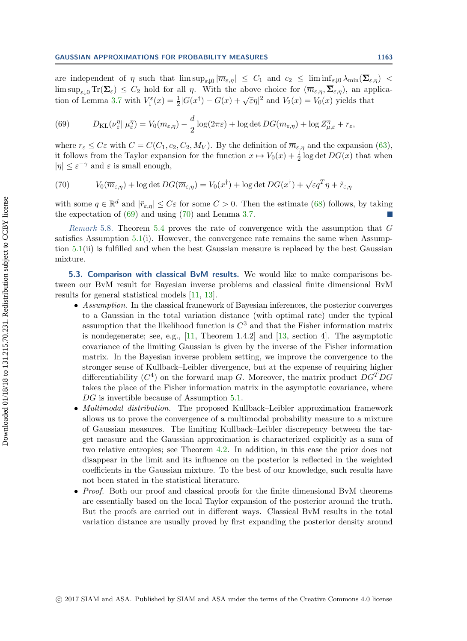are independent of  $\eta$  such that  $\limsup_{\varepsilon\downarrow 0} |\overline{m}_{\varepsilon,\eta}| \leq C_1$  and  $c_2 \leq \liminf_{\varepsilon\downarrow 0} \lambda_{\min}(\overline{\Sigma}_{\varepsilon,\eta})$  $\limsup_{\varepsilon\downarrow 0} \text{Tr}(\Sigma_{\varepsilon}) \leq C_2$  hold for all  $\eta$ . With the above choice for  $(\overline{m}_{\varepsilon,\eta}, \overline{\Sigma}_{\varepsilon,\eta})$ , an applica-tion of Lemma [3.7](#page-10-1) with  $V_1^{\epsilon}(x) = \frac{1}{2}|G(x^{\dagger}) - G(x) + \sqrt{\epsilon}\eta|^2$  and  $V_2(x) = V_0(x)$  yields that

<span id="page-27-1"></span>(69) 
$$
D_{\mathrm{KL}}(\overline{\nu}_{\varepsilon}^{\eta}||\overline{\mu}_{\varepsilon}^{\eta}) = V_0(\overline{m}_{\varepsilon,\eta}) - \frac{d}{2}\log(2\pi\varepsilon) + \log \det DG(\overline{m}_{\varepsilon,\eta}) + \log Z_{\mu,\varepsilon}^{\eta} + r_{\varepsilon},
$$

where  $r_{\varepsilon} \leq C \varepsilon$  with  $C = C(C_1, c_2, C_2, M_V)$ . By the definition of  $\overline{m}_{\varepsilon,\eta}$  and the expansion [\(63\)](#page-24-1), it follows from the Taylor expansion for the function  $x \mapsto V_0(x) + \frac{1}{2} \log \det DG(x)$  that when  $|\eta| \leq \varepsilon^{-\gamma}$  and  $\varepsilon$  is small enough,

<span id="page-27-2"></span>(70) 
$$
V_0(\overline{m}_{\varepsilon,\eta}) + \log \det DG(\overline{m}_{\varepsilon,\eta}) = V_0(x^{\dagger}) + \log \det DG(x^{\dagger}) + \sqrt{\varepsilon} q^T \eta + \tilde{r}_{\varepsilon,\eta}
$$

with some  $q \in \mathbb{R}^d$  and  $|\tilde{r}_{\varepsilon,\eta}| \leq C\varepsilon$  for some  $C > 0$ . Then the estimate [\(68\)](#page-26-0) follows, by taking the expectation of  $(69)$  and using  $(70)$  and Lemma [3.7.](#page-10-1)

<span id="page-27-0"></span>Remark 5.8. Theorem [5.4](#page-23-0) proves the rate of convergence with the assumption that G satisfies Assumption  $5.1(i)$  $5.1(i)$ . However, the convergence rate remains the same when Assumption [5.1\(](#page-19-0)ii) is fulfilled and when the best Gaussian measure is replaced by the best Gaussian mixture.

5.3. Comparison with classical BvM results. We would like to make comparisons between our BvM result for Bayesian inverse problems and classical finite dimensional BvM results for general statistical models [\[11,](#page-29-21) [13\]](#page-29-17).

- Assumption. In the classical framework of Bayesian inferences, the posterior converges to a Gaussian in the total variation distance (with optimal rate) under the typical assumption that the likelihood function is  $C^3$  and that the Fisher information matrix is nondegenerate; see, e.g., [\[11,](#page-29-21) Theorem 1.4.2] and [\[13,](#page-29-17) section 4]. The asymptotic covariance of the limiting Gaussian is given by the inverse of the Fisher information matrix. In the Bayesian inverse problem setting, we improve the convergence to the stronger sense of Kullback–Leibler divergence, but at the expense of requiring higher differentiability  $(C^4)$  on the forward map G. Moreover, the matrix product  $DG^TDG$ takes the place of the Fisher information matrix in the asymptotic covariance, where DG is invertible because of Assumption [5.1.](#page-19-0)
- *Multimodal distribution*. The proposed Kullback–Leibler approximation framework allows us to prove the convergence of a multimodal probability measure to a mixture of Gaussian measures. The limiting Kullback–Leibler discrepency between the target measure and the Gaussian approximation is characterized explicitly as a sum of two relative entropies; see Theorem [4.2.](#page-13-0) In addition, in this case the prior does not disappear in the limit and its influence on the posterior is reflected in the weighted coefficients in the Gaussian mixture. To the best of our knowledge, such results have not been stated in the statistical literature.
- *Proof.* Both our proof and classical proofs for the finite dimensional BvM theorems are essentially based on the local Taylor expansion of the posterior around the truth. But the proofs are carried out in different ways. Classical BvM results in the total variation distance are usually proved by first expanding the posterior density around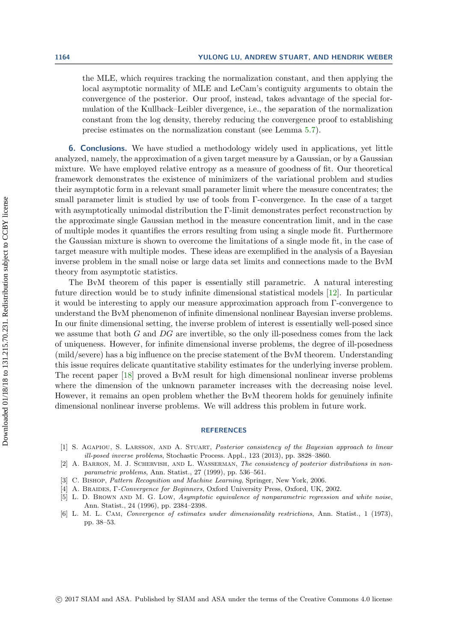the MLE, which requires tracking the normalization constant, and then applying the local asymptotic normality of MLE and LeCam's contiguity arguments to obtain the convergence of the posterior. Our proof, instead, takes advantage of the special formulation of the Kullback–Leibler divergence, i.e., the separation of the normalization constant from the log density, thereby reducing the convergence proof to establishing precise estimates on the normalization constant (see Lemma [5.7\)](#page-24-2).

<span id="page-28-2"></span>6. Conclusions. We have studied a methodology widely used in applications, yet little analyzed, namely, the approximation of a given target measure by a Gaussian, or by a Gaussian mixture. We have employed relative entropy as a measure of goodness of fit. Our theoretical framework demonstrates the existence of minimizers of the variational problem and studies their asymptotic form in a relevant small parameter limit where the measure concentrates; the small parameter limit is studied by use of tools from Γ-convergence. In the case of a target with asymptotically unimodal distribution the Γ-limit demonstrates perfect reconstruction by the approximate single Gaussian method in the measure concentration limit, and in the case of multiple modes it quantifies the errors resulting from using a single mode fit. Furthermore the Gaussian mixture is shown to overcome the limitations of a single mode fit, in the case of target measure with multiple modes. These ideas are exemplified in the analysis of a Bayesian inverse problem in the small noise or large data set limits and connections made to the BvM theory from asymptotic statistics.

The BvM theorem of this paper is essentially still parametric. A natural interesting future direction would be to study infinite dimensional statistical models [\[12\]](#page-29-22). In particular it would be interesting to apply our measure approximation approach from Γ-convergence to understand the BvM phenomenon of infinite dimensional nonlinear Bayesian inverse problems. In our finite dimensional setting, the inverse problem of interest is essentially well-posed since we assume that both  $G$  and  $DG$  are invertible, so the only ill-posedness comes from the lack of uniqueness. However, for infinite dimensional inverse problems, the degree of ill-posedness (mild/severe) has a big influence on the precise statement of the BvM theorem. Understanding this issue requires delicate quantitative stability estimates for the underlying inverse problem. The recent paper [\[18\]](#page-29-23) proved a BvM result for high dimensional nonlinear inverse problems where the dimension of the unknown parameter increases with the decreasing noise level. However, it remains an open problem whether the BvM theorem holds for genuinely infinite dimensional nonlinear inverse problems. We will address this problem in future work.

### **REFERENCES**

- <span id="page-28-5"></span>[1] S. Agapiou, S. Larsson, and A. Stuart, Posterior consistency of the Bayesian approach to linear ill-posed inverse problems, Stochastic Process. Appl., 123 (2013), pp. 3828–3860.
- <span id="page-28-4"></span>[2] A. BARRON, M. J. SCHERVISH, AND L. WASSERMAN, The consistency of posterior distributions in nonparametric problems, Ann. Statist., 27 (1999), pp. 536–561.
- <span id="page-28-0"></span>[3] C. Bishop, Pattern Recognition and Machine Learning, Springer, New York, 2006.
- <span id="page-28-3"></span>[4] A. Braides, Γ-Convergence for Beginners, Oxford University Press, Oxford, UK, 2002.
- <span id="page-28-1"></span>[5] L. D. BROWN AND M. G. LOW, Asymptotic equivalence of nonparametric regression and white noise, Ann. Statist., 24 (1996), pp. 2384–2398.
- <span id="page-28-6"></span>[6] L. M. L. Cam, Convergence of estimates under dimensionality restrictions, Ann. Statist., 1 (1973), pp. 38–53.